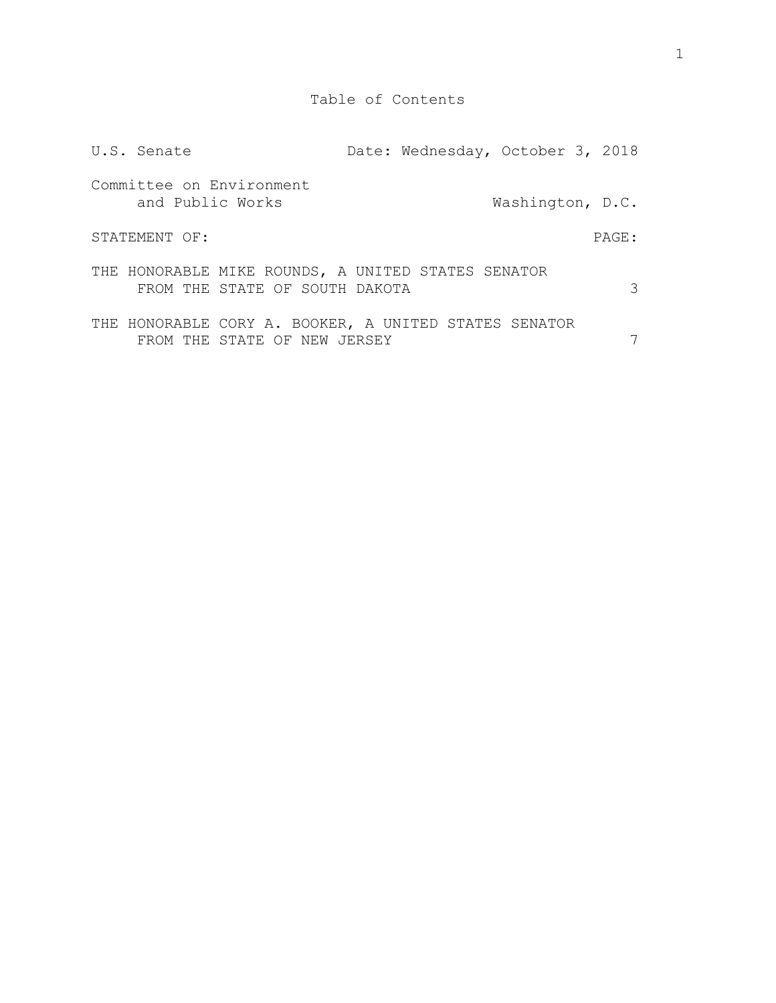| U.S. Senate      |                                                                                       |  | Date: Wednesday, October 3, 2018 |       |
|------------------|---------------------------------------------------------------------------------------|--|----------------------------------|-------|
| and Public Works | Committee on Environment                                                              |  | Washington, D.C.                 |       |
| STATEMENT OF:    |                                                                                       |  |                                  | PAGE: |
|                  | THE HONORABLE MIKE ROUNDS, A UNITED STATES SENATOR<br>FROM THE STATE OF SOUTH DAKOTA  |  |                                  | 3     |
|                  | THE HONORABLE CORY A. BOOKER, A UNITED STATES SENATOR<br>FROM THE STATE OF NEW JERSEY |  |                                  |       |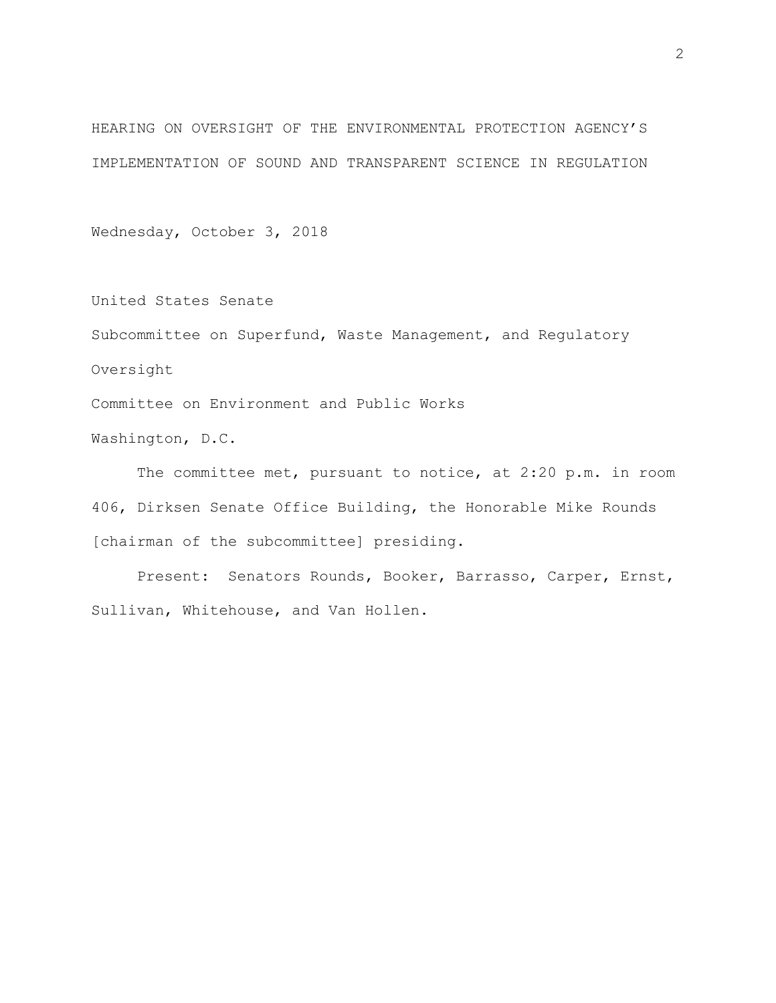HEARING ON OVERSIGHT OF THE ENVIRONMENTAL PROTECTION AGENCY'S IMPLEMENTATION OF SOUND AND TRANSPARENT SCIENCE IN REGULATION

Wednesday, October 3, 2018

United States Senate Subcommittee on Superfund, Waste Management, and Regulatory Oversight Committee on Environment and Public Works

Washington, D.C.

The committee met, pursuant to notice, at 2:20 p.m. in room 406, Dirksen Senate Office Building, the Honorable Mike Rounds [chairman of the subcommittee] presiding.

Present: Senators Rounds, Booker, Barrasso, Carper, Ernst, Sullivan, Whitehouse, and Van Hollen.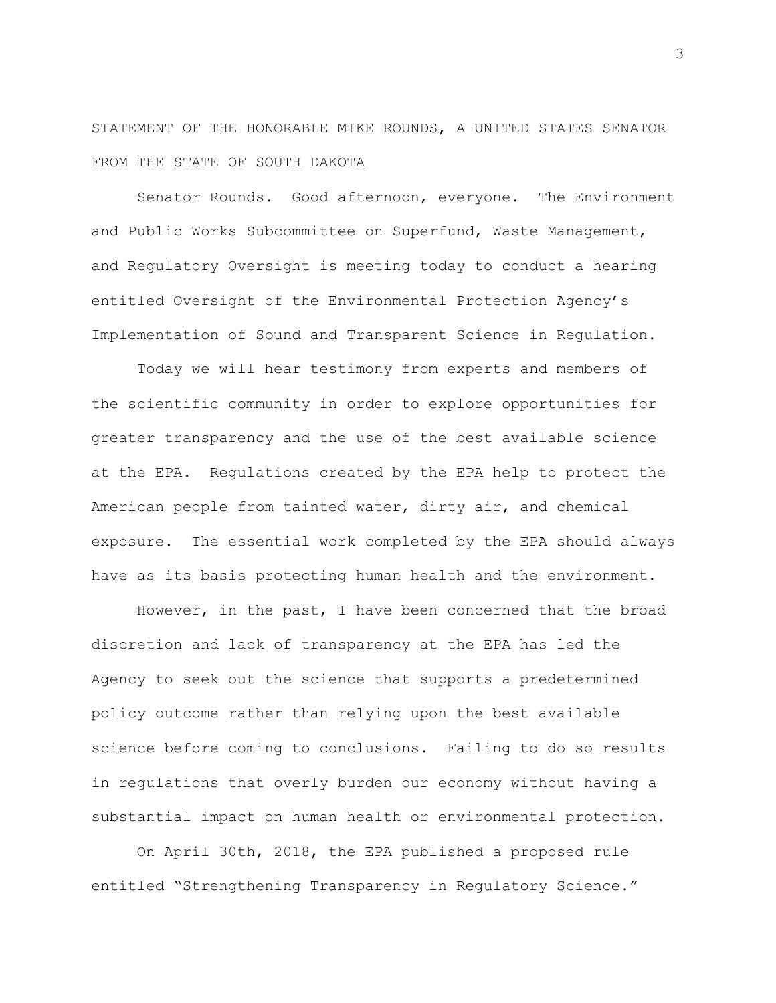STATEMENT OF THE HONORABLE MIKE ROUNDS, A UNITED STATES SENATOR FROM THE STATE OF SOUTH DAKOTA

Senator Rounds. Good afternoon, everyone. The Environment and Public Works Subcommittee on Superfund, Waste Management, and Regulatory Oversight is meeting today to conduct a hearing entitled Oversight of the Environmental Protection Agency's Implementation of Sound and Transparent Science in Regulation.

Today we will hear testimony from experts and members of the scientific community in order to explore opportunities for greater transparency and the use of the best available science at the EPA. Regulations created by the EPA help to protect the American people from tainted water, dirty air, and chemical exposure. The essential work completed by the EPA should always have as its basis protecting human health and the environment.

However, in the past, I have been concerned that the broad discretion and lack of transparency at the EPA has led the Agency to seek out the science that supports a predetermined policy outcome rather than relying upon the best available science before coming to conclusions. Failing to do so results in regulations that overly burden our economy without having a substantial impact on human health or environmental protection.

On April 30th, 2018, the EPA published a proposed rule entitled "Strengthening Transparency in Regulatory Science."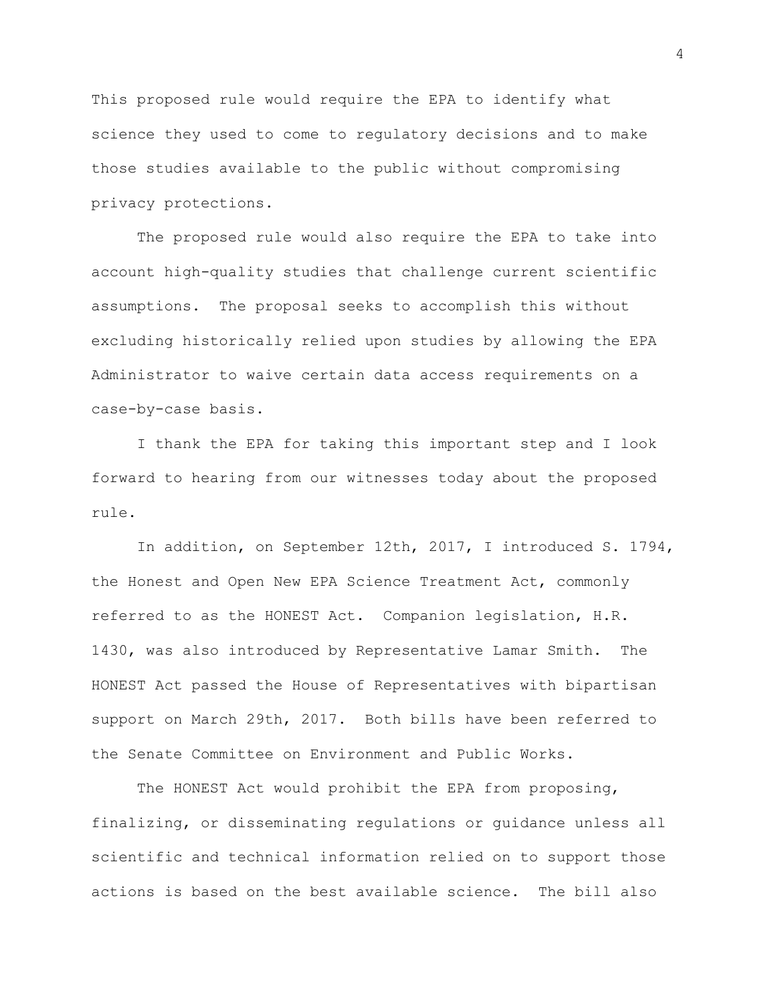This proposed rule would require the EPA to identify what science they used to come to regulatory decisions and to make those studies available to the public without compromising privacy protections.

The proposed rule would also require the EPA to take into account high-quality studies that challenge current scientific assumptions. The proposal seeks to accomplish this without excluding historically relied upon studies by allowing the EPA Administrator to waive certain data access requirements on a case-by-case basis.

I thank the EPA for taking this important step and I look forward to hearing from our witnesses today about the proposed rule.

In addition, on September 12th, 2017, I introduced S. 1794, the Honest and Open New EPA Science Treatment Act, commonly referred to as the HONEST Act. Companion legislation, H.R. 1430, was also introduced by Representative Lamar Smith. The HONEST Act passed the House of Representatives with bipartisan support on March 29th, 2017. Both bills have been referred to the Senate Committee on Environment and Public Works.

The HONEST Act would prohibit the EPA from proposing, finalizing, or disseminating regulations or guidance unless all scientific and technical information relied on to support those actions is based on the best available science. The bill also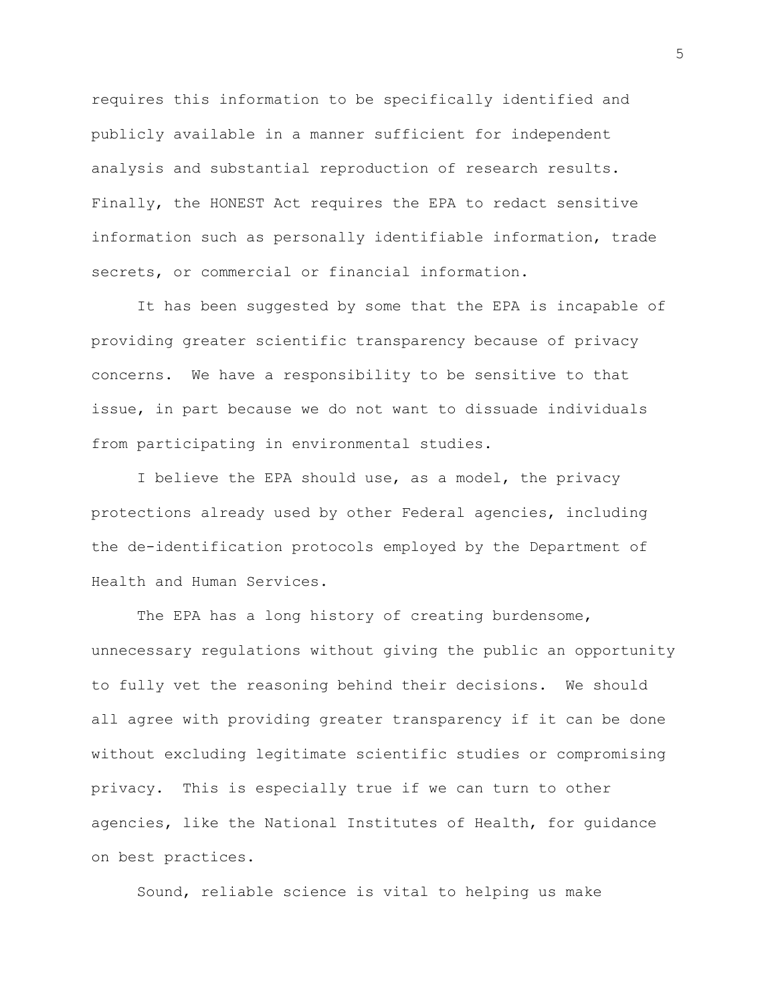requires this information to be specifically identified and publicly available in a manner sufficient for independent analysis and substantial reproduction of research results. Finally, the HONEST Act requires the EPA to redact sensitive information such as personally identifiable information, trade secrets, or commercial or financial information.

It has been suggested by some that the EPA is incapable of providing greater scientific transparency because of privacy concerns. We have a responsibility to be sensitive to that issue, in part because we do not want to dissuade individuals from participating in environmental studies.

I believe the EPA should use, as a model, the privacy protections already used by other Federal agencies, including the de-identification protocols employed by the Department of Health and Human Services.

The EPA has a long history of creating burdensome, unnecessary regulations without giving the public an opportunity to fully vet the reasoning behind their decisions. We should all agree with providing greater transparency if it can be done without excluding legitimate scientific studies or compromising privacy. This is especially true if we can turn to other agencies, like the National Institutes of Health, for guidance on best practices.

Sound, reliable science is vital to helping us make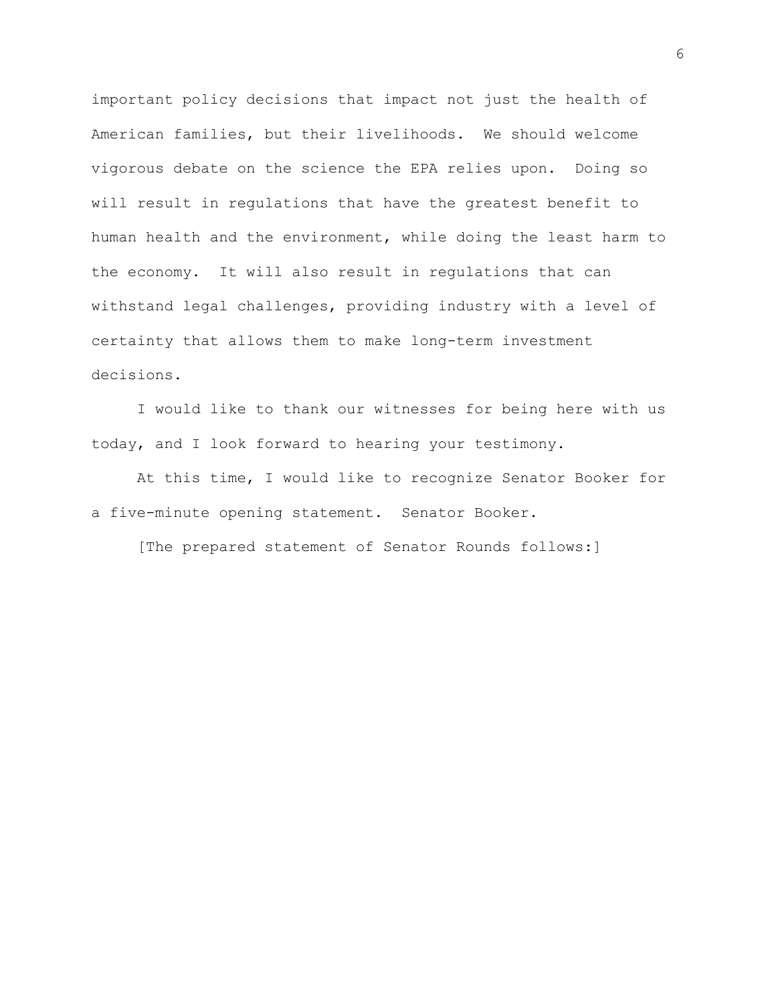important policy decisions that impact not just the health of American families, but their livelihoods. We should welcome vigorous debate on the science the EPA relies upon. Doing so will result in regulations that have the greatest benefit to human health and the environment, while doing the least harm to the economy. It will also result in regulations that can withstand legal challenges, providing industry with a level of certainty that allows them to make long-term investment decisions.

I would like to thank our witnesses for being here with us today, and I look forward to hearing your testimony.

At this time, I would like to recognize Senator Booker for a five-minute opening statement. Senator Booker.

[The prepared statement of Senator Rounds follows:]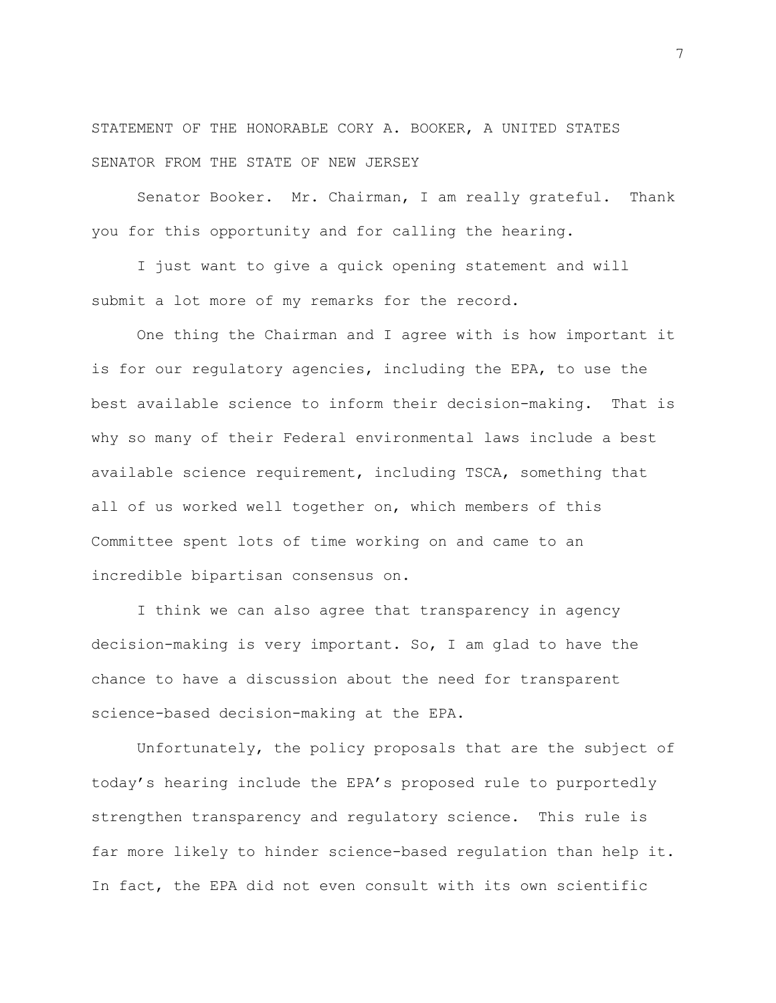STATEMENT OF THE HONORABLE CORY A. BOOKER, A UNITED STATES SENATOR FROM THE STATE OF NEW JERSEY

Senator Booker. Mr. Chairman, I am really grateful. Thank you for this opportunity and for calling the hearing.

I just want to give a quick opening statement and will submit a lot more of my remarks for the record.

One thing the Chairman and I agree with is how important it is for our regulatory agencies, including the EPA, to use the best available science to inform their decision-making. That is why so many of their Federal environmental laws include a best available science requirement, including TSCA, something that all of us worked well together on, which members of this Committee spent lots of time working on and came to an incredible bipartisan consensus on.

I think we can also agree that transparency in agency decision-making is very important. So, I am glad to have the chance to have a discussion about the need for transparent science-based decision-making at the EPA.

Unfortunately, the policy proposals that are the subject of today's hearing include the EPA's proposed rule to purportedly strengthen transparency and regulatory science. This rule is far more likely to hinder science-based regulation than help it. In fact, the EPA did not even consult with its own scientific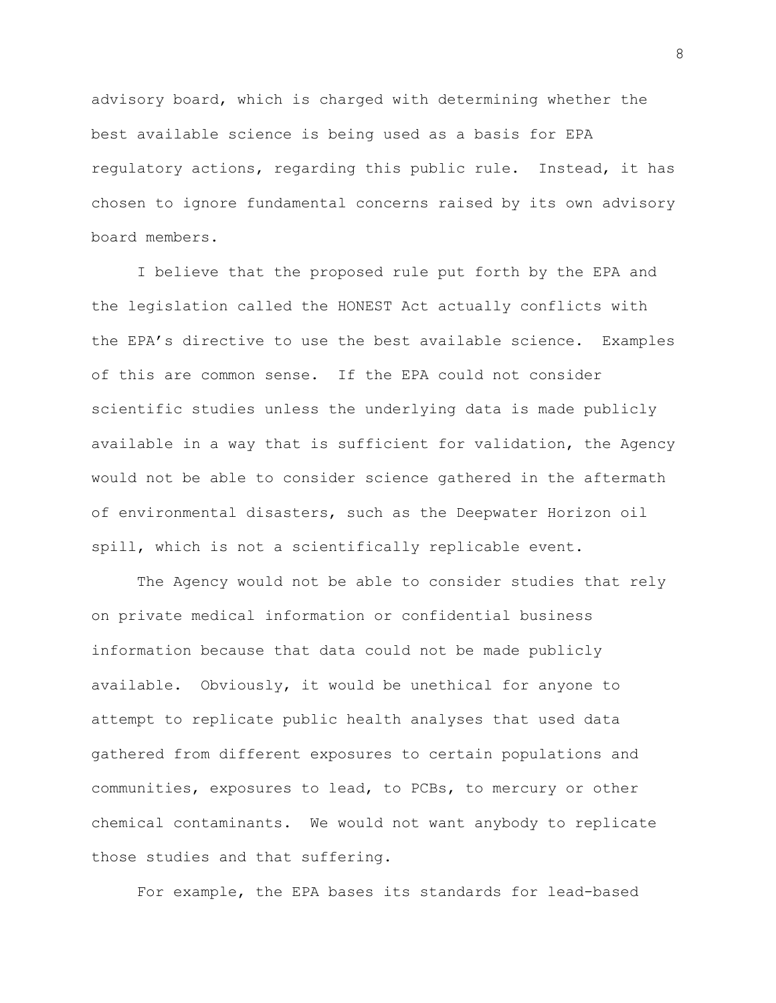advisory board, which is charged with determining whether the best available science is being used as a basis for EPA regulatory actions, regarding this public rule. Instead, it has chosen to ignore fundamental concerns raised by its own advisory board members.

I believe that the proposed rule put forth by the EPA and the legislation called the HONEST Act actually conflicts with the EPA's directive to use the best available science. Examples of this are common sense. If the EPA could not consider scientific studies unless the underlying data is made publicly available in a way that is sufficient for validation, the Agency would not be able to consider science gathered in the aftermath of environmental disasters, such as the Deepwater Horizon oil spill, which is not a scientifically replicable event.

The Agency would not be able to consider studies that rely on private medical information or confidential business information because that data could not be made publicly available. Obviously, it would be unethical for anyone to attempt to replicate public health analyses that used data gathered from different exposures to certain populations and communities, exposures to lead, to PCBs, to mercury or other chemical contaminants. We would not want anybody to replicate those studies and that suffering.

For example, the EPA bases its standards for lead-based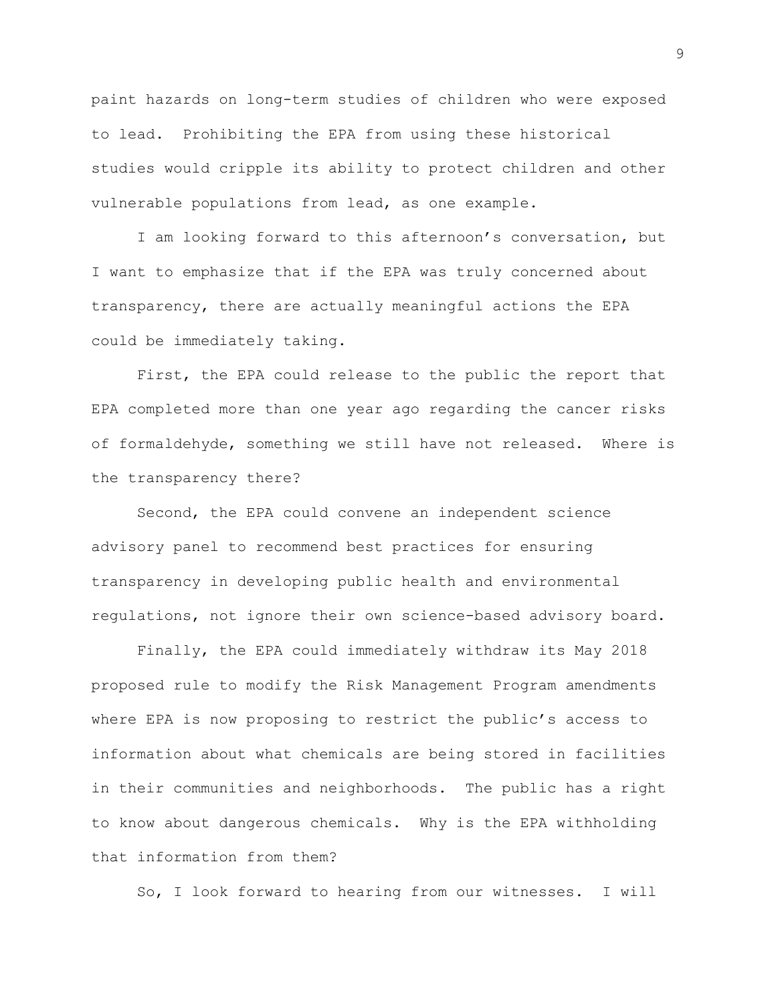paint hazards on long-term studies of children who were exposed to lead. Prohibiting the EPA from using these historical studies would cripple its ability to protect children and other vulnerable populations from lead, as one example.

I am looking forward to this afternoon's conversation, but I want to emphasize that if the EPA was truly concerned about transparency, there are actually meaningful actions the EPA could be immediately taking.

First, the EPA could release to the public the report that EPA completed more than one year ago regarding the cancer risks of formaldehyde, something we still have not released. Where is the transparency there?

Second, the EPA could convene an independent science advisory panel to recommend best practices for ensuring transparency in developing public health and environmental regulations, not ignore their own science-based advisory board.

Finally, the EPA could immediately withdraw its May 2018 proposed rule to modify the Risk Management Program amendments where EPA is now proposing to restrict the public's access to information about what chemicals are being stored in facilities in their communities and neighborhoods. The public has a right to know about dangerous chemicals. Why is the EPA withholding that information from them?

So, I look forward to hearing from our witnesses. I will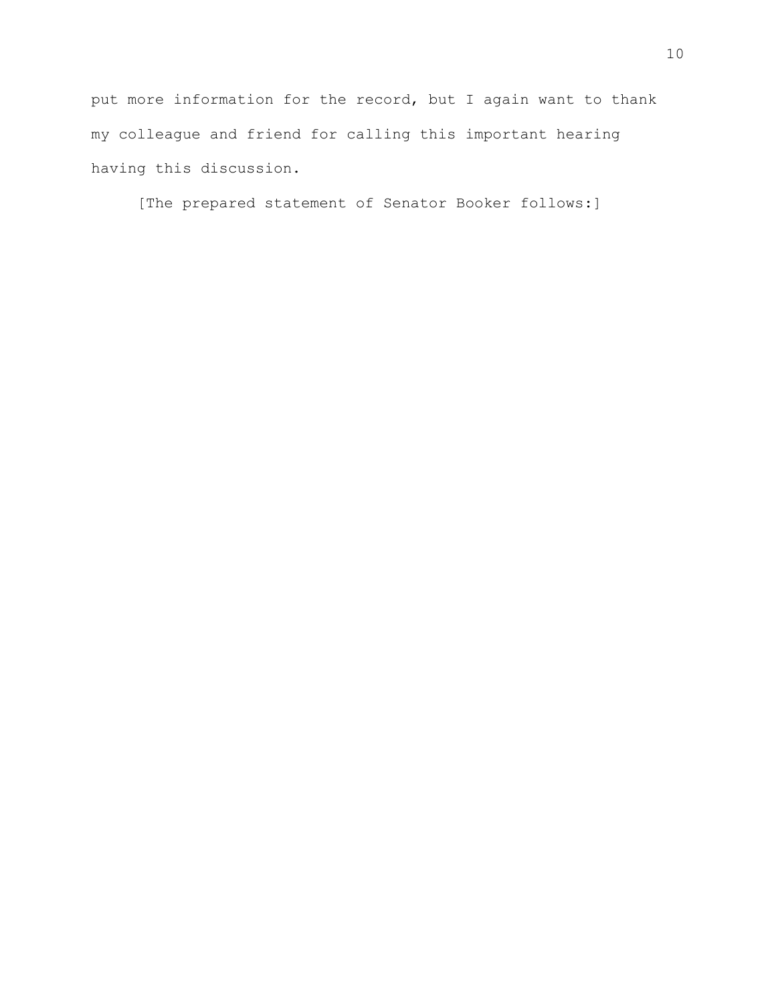put more information for the record, but I again want to thank my colleague and friend for calling this important hearing having this discussion.

[The prepared statement of Senator Booker follows:]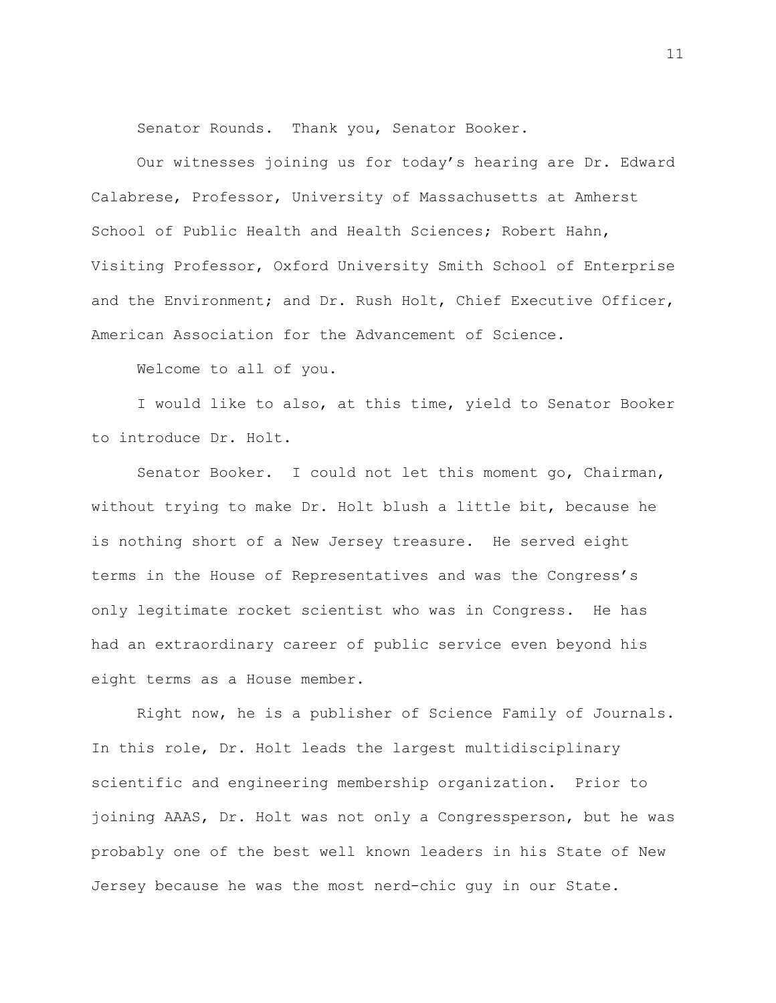Senator Rounds. Thank you, Senator Booker.

Our witnesses joining us for today's hearing are Dr. Edward Calabrese, Professor, University of Massachusetts at Amherst School of Public Health and Health Sciences; Robert Hahn, Visiting Professor, Oxford University Smith School of Enterprise and the Environment; and Dr. Rush Holt, Chief Executive Officer, American Association for the Advancement of Science.

Welcome to all of you.

I would like to also, at this time, yield to Senator Booker to introduce Dr. Holt.

Senator Booker. I could not let this moment go, Chairman, without trying to make Dr. Holt blush a little bit, because he is nothing short of a New Jersey treasure. He served eight terms in the House of Representatives and was the Congress's only legitimate rocket scientist who was in Congress. He has had an extraordinary career of public service even beyond his eight terms as a House member.

Right now, he is a publisher of Science Family of Journals. In this role, Dr. Holt leads the largest multidisciplinary scientific and engineering membership organization. Prior to joining AAAS, Dr. Holt was not only a Congressperson, but he was probably one of the best well known leaders in his State of New Jersey because he was the most nerd-chic guy in our State.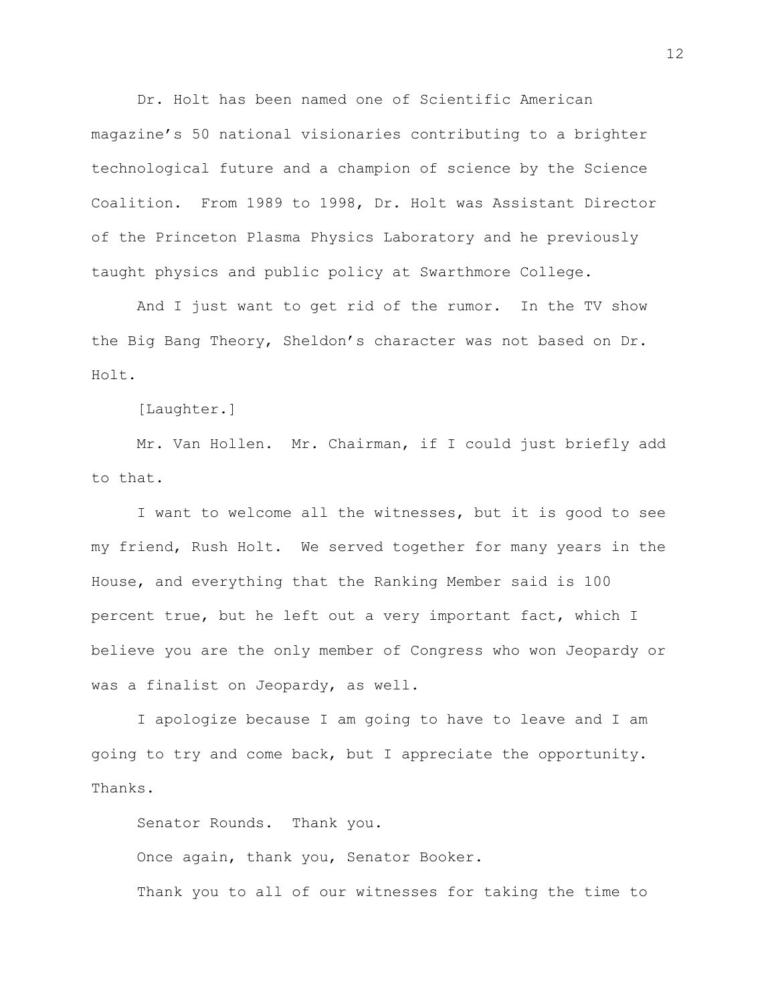Dr. Holt has been named one of Scientific American magazine's 50 national visionaries contributing to a brighter technological future and a champion of science by the Science Coalition. From 1989 to 1998, Dr. Holt was Assistant Director of the Princeton Plasma Physics Laboratory and he previously taught physics and public policy at Swarthmore College.

And I just want to get rid of the rumor. In the TV show the Big Bang Theory, Sheldon's character was not based on Dr. Holt.

[Laughter.]

Mr. Van Hollen. Mr. Chairman, if I could just briefly add to that.

I want to welcome all the witnesses, but it is good to see my friend, Rush Holt. We served together for many years in the House, and everything that the Ranking Member said is 100 percent true, but he left out a very important fact, which I believe you are the only member of Congress who won Jeopardy or was a finalist on Jeopardy, as well.

I apologize because I am going to have to leave and I am going to try and come back, but I appreciate the opportunity. Thanks.

Senator Rounds. Thank you. Once again, thank you, Senator Booker. Thank you to all of our witnesses for taking the time to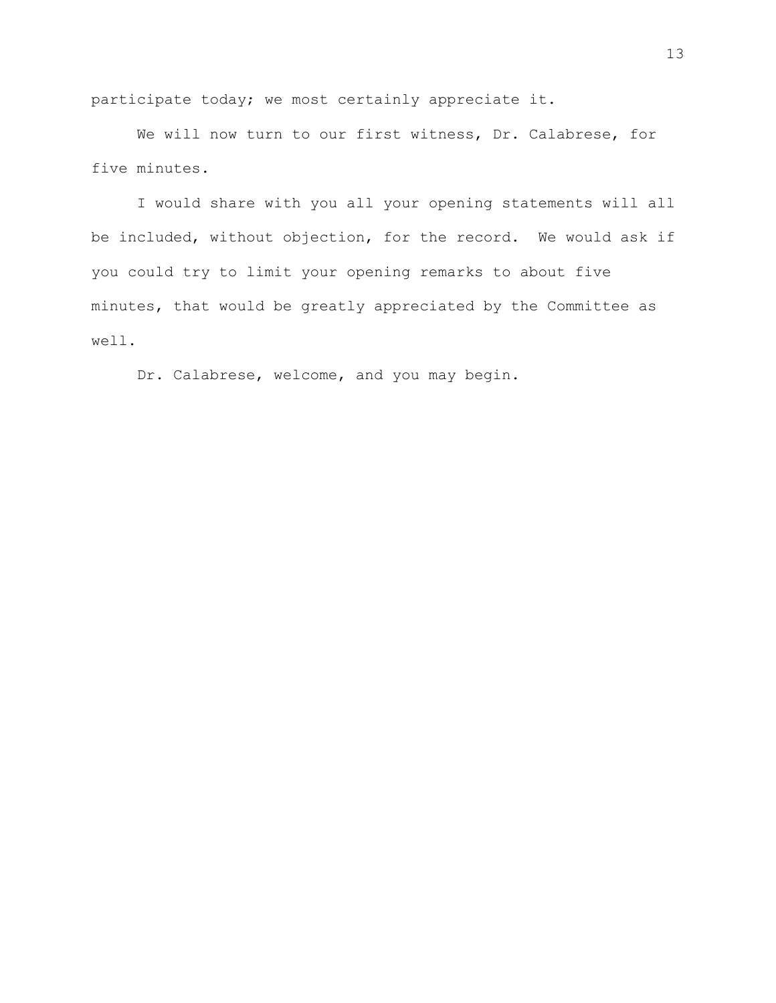participate today; we most certainly appreciate it.

We will now turn to our first witness, Dr. Calabrese, for five minutes.

I would share with you all your opening statements will all be included, without objection, for the record. We would ask if you could try to limit your opening remarks to about five minutes, that would be greatly appreciated by the Committee as well.

Dr. Calabrese, welcome, and you may begin.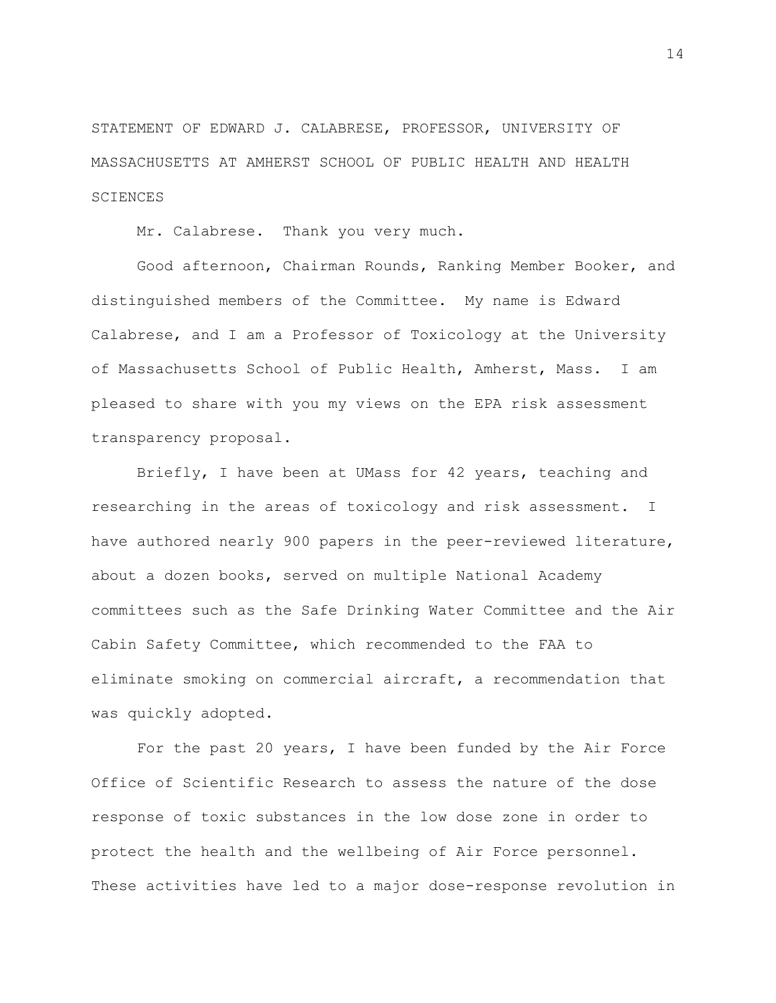STATEMENT OF EDWARD J. CALABRESE, PROFESSOR, UNIVERSITY OF MASSACHUSETTS AT AMHERST SCHOOL OF PUBLIC HEALTH AND HEALTH SCIENCES

Mr. Calabrese. Thank you very much.

Good afternoon, Chairman Rounds, Ranking Member Booker, and distinguished members of the Committee. My name is Edward Calabrese, and I am a Professor of Toxicology at the University of Massachusetts School of Public Health, Amherst, Mass. I am pleased to share with you my views on the EPA risk assessment transparency proposal.

Briefly, I have been at UMass for 42 years, teaching and researching in the areas of toxicology and risk assessment. I have authored nearly 900 papers in the peer-reviewed literature, about a dozen books, served on multiple National Academy committees such as the Safe Drinking Water Committee and the Air Cabin Safety Committee, which recommended to the FAA to eliminate smoking on commercial aircraft, a recommendation that was quickly adopted.

For the past 20 years, I have been funded by the Air Force Office of Scientific Research to assess the nature of the dose response of toxic substances in the low dose zone in order to protect the health and the wellbeing of Air Force personnel. These activities have led to a major dose-response revolution in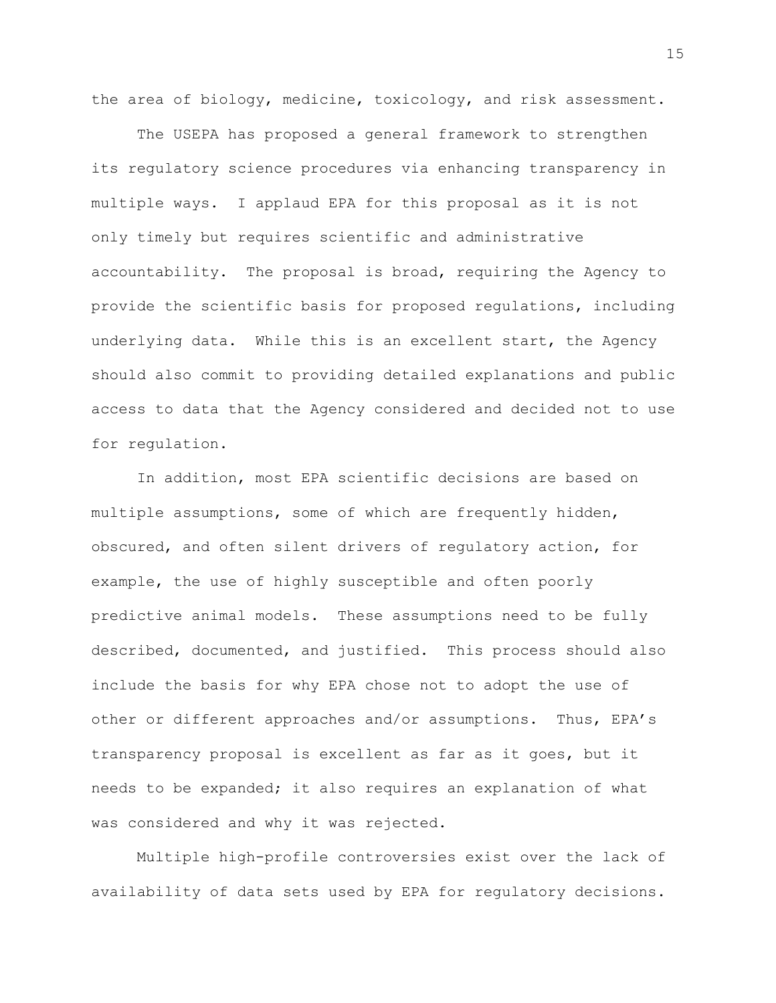the area of biology, medicine, toxicology, and risk assessment.

The USEPA has proposed a general framework to strengthen its regulatory science procedures via enhancing transparency in multiple ways. I applaud EPA for this proposal as it is not only timely but requires scientific and administrative accountability. The proposal is broad, requiring the Agency to provide the scientific basis for proposed regulations, including underlying data. While this is an excellent start, the Agency should also commit to providing detailed explanations and public access to data that the Agency considered and decided not to use for regulation.

In addition, most EPA scientific decisions are based on multiple assumptions, some of which are frequently hidden, obscured, and often silent drivers of regulatory action, for example, the use of highly susceptible and often poorly predictive animal models. These assumptions need to be fully described, documented, and justified. This process should also include the basis for why EPA chose not to adopt the use of other or different approaches and/or assumptions. Thus, EPA's transparency proposal is excellent as far as it goes, but it needs to be expanded; it also requires an explanation of what was considered and why it was rejected.

Multiple high-profile controversies exist over the lack of availability of data sets used by EPA for regulatory decisions.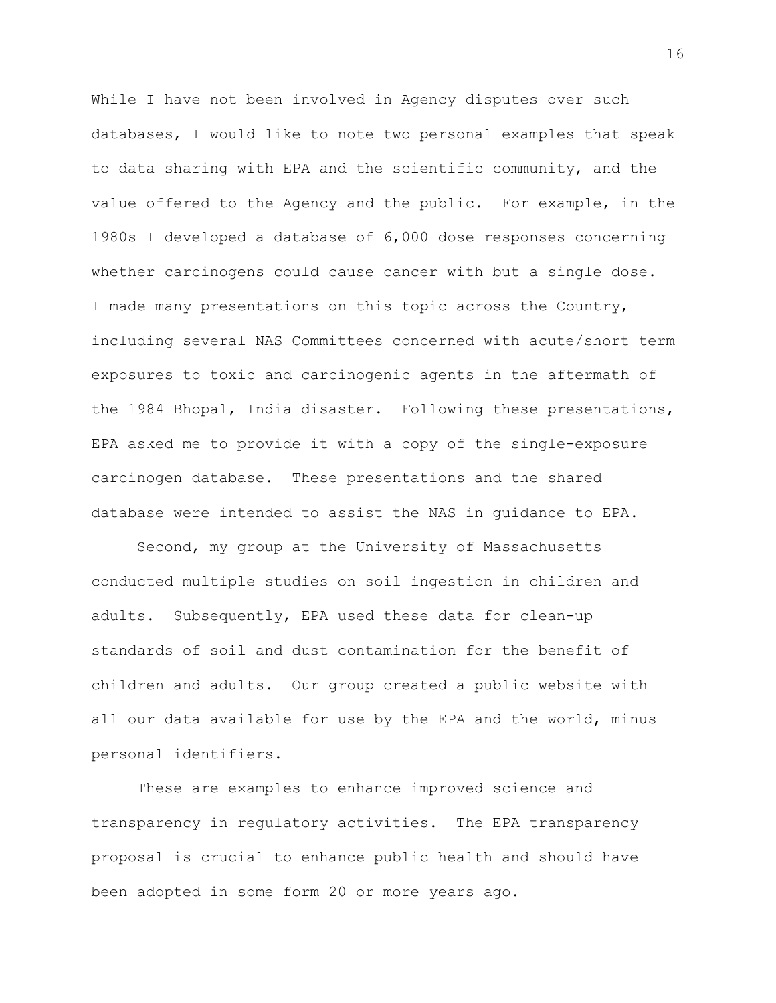While I have not been involved in Agency disputes over such databases, I would like to note two personal examples that speak to data sharing with EPA and the scientific community, and the value offered to the Agency and the public. For example, in the 1980s I developed a database of 6,000 dose responses concerning whether carcinogens could cause cancer with but a single dose. I made many presentations on this topic across the Country, including several NAS Committees concerned with acute/short term exposures to toxic and carcinogenic agents in the aftermath of the 1984 Bhopal, India disaster. Following these presentations, EPA asked me to provide it with a copy of the single-exposure carcinogen database. These presentations and the shared database were intended to assist the NAS in guidance to EPA.

Second, my group at the University of Massachusetts conducted multiple studies on soil ingestion in children and adults. Subsequently, EPA used these data for clean-up standards of soil and dust contamination for the benefit of children and adults. Our group created a public website with all our data available for use by the EPA and the world, minus personal identifiers.

These are examples to enhance improved science and transparency in regulatory activities. The EPA transparency proposal is crucial to enhance public health and should have been adopted in some form 20 or more years ago.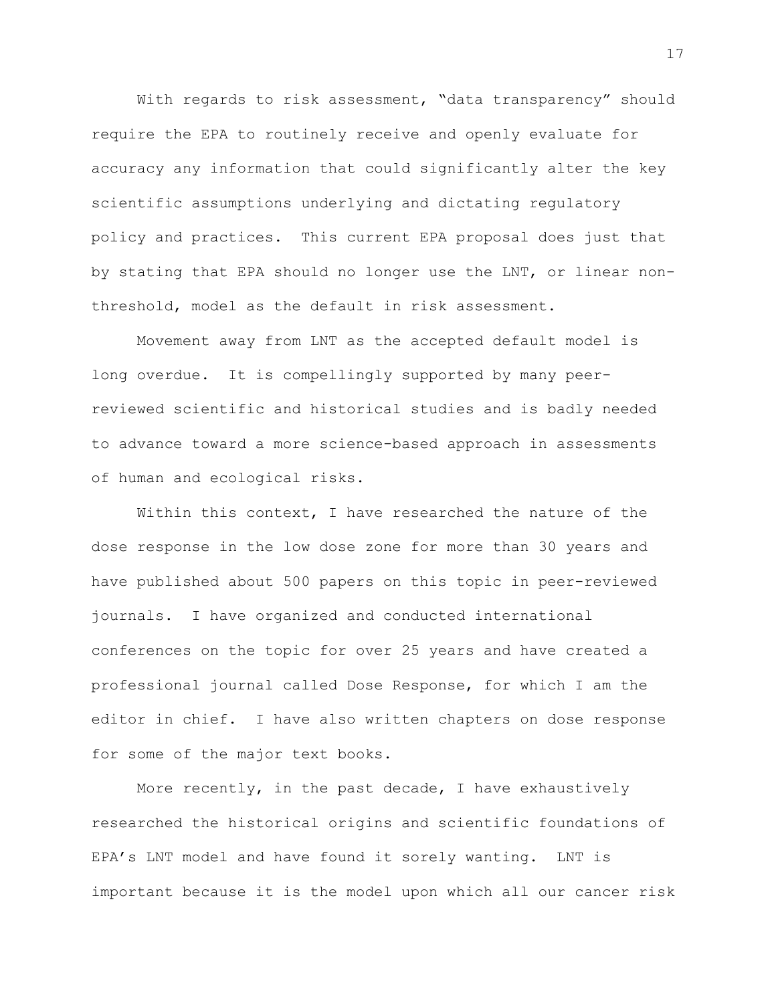With regards to risk assessment, "data transparency" should require the EPA to routinely receive and openly evaluate for accuracy any information that could significantly alter the key scientific assumptions underlying and dictating regulatory policy and practices. This current EPA proposal does just that by stating that EPA should no longer use the LNT, or linear nonthreshold, model as the default in risk assessment.

Movement away from LNT as the accepted default model is long overdue. It is compellingly supported by many peerreviewed scientific and historical studies and is badly needed to advance toward a more science-based approach in assessments of human and ecological risks.

Within this context, I have researched the nature of the dose response in the low dose zone for more than 30 years and have published about 500 papers on this topic in peer-reviewed journals. I have organized and conducted international conferences on the topic for over 25 years and have created a professional journal called Dose Response, for which I am the editor in chief. I have also written chapters on dose response for some of the major text books.

More recently, in the past decade, I have exhaustively researched the historical origins and scientific foundations of EPA's LNT model and have found it sorely wanting. LNT is important because it is the model upon which all our cancer risk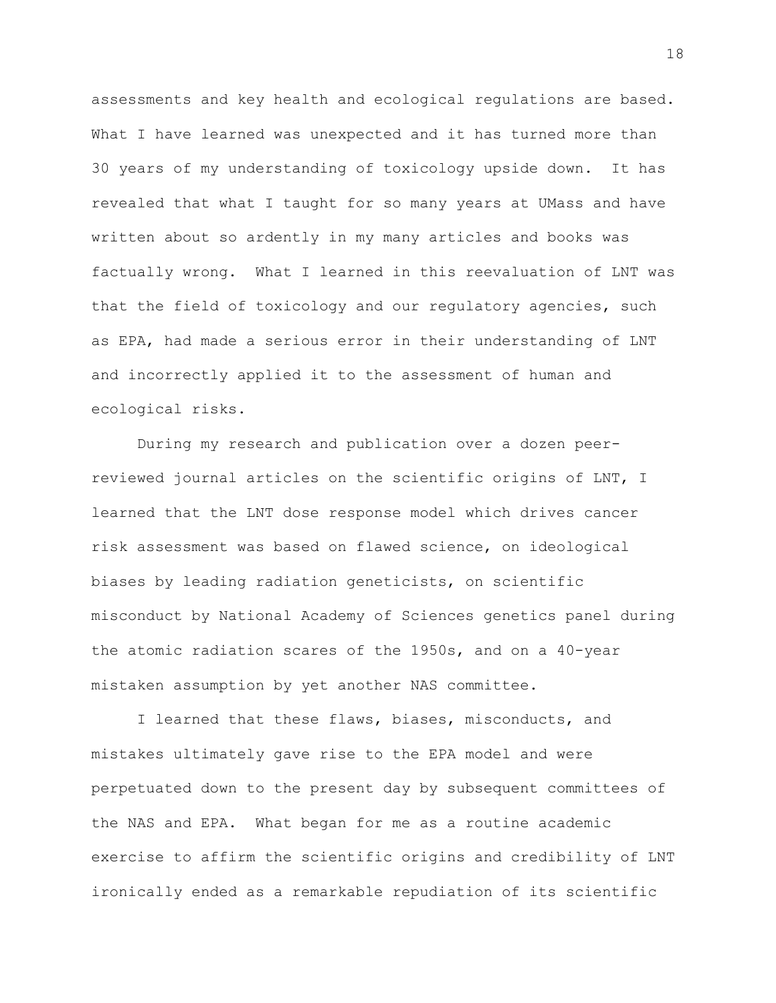assessments and key health and ecological regulations are based. What I have learned was unexpected and it has turned more than 30 years of my understanding of toxicology upside down. It has revealed that what I taught for so many years at UMass and have written about so ardently in my many articles and books was factually wrong. What I learned in this reevaluation of LNT was that the field of toxicology and our regulatory agencies, such as EPA, had made a serious error in their understanding of LNT and incorrectly applied it to the assessment of human and ecological risks.

During my research and publication over a dozen peerreviewed journal articles on the scientific origins of LNT, I learned that the LNT dose response model which drives cancer risk assessment was based on flawed science, on ideological biases by leading radiation geneticists, on scientific misconduct by National Academy of Sciences genetics panel during the atomic radiation scares of the 1950s, and on a 40-year mistaken assumption by yet another NAS committee.

I learned that these flaws, biases, misconducts, and mistakes ultimately gave rise to the EPA model and were perpetuated down to the present day by subsequent committees of the NAS and EPA. What began for me as a routine academic exercise to affirm the scientific origins and credibility of LNT ironically ended as a remarkable repudiation of its scientific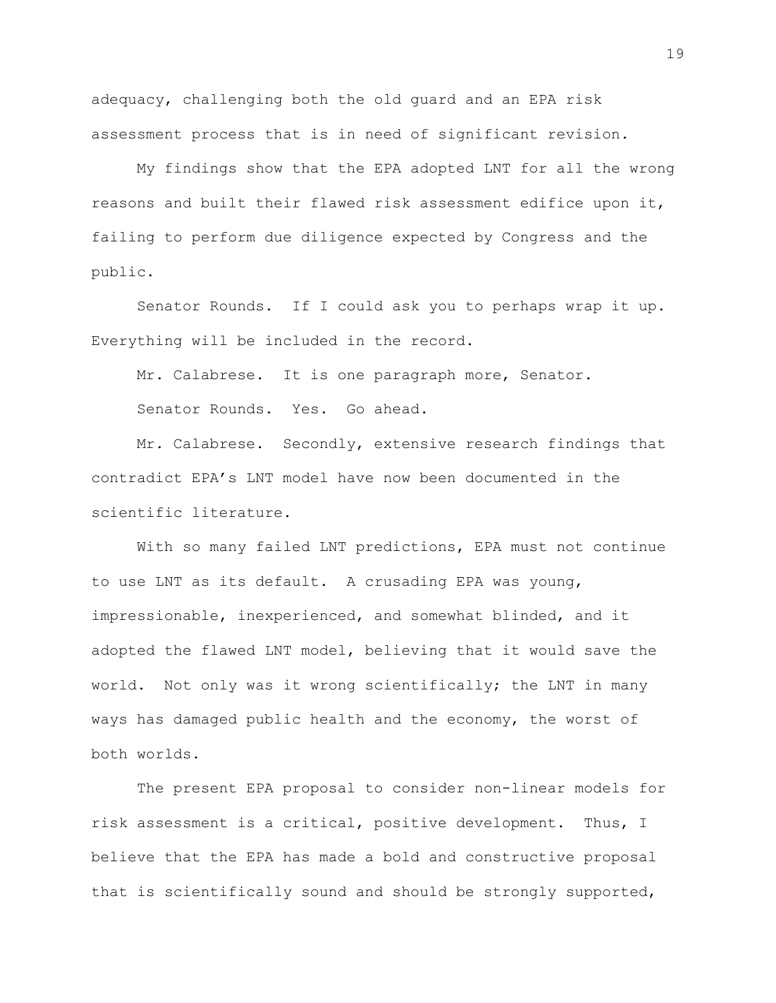adequacy, challenging both the old guard and an EPA risk assessment process that is in need of significant revision.

My findings show that the EPA adopted LNT for all the wrong reasons and built their flawed risk assessment edifice upon it, failing to perform due diligence expected by Congress and the public.

Senator Rounds. If I could ask you to perhaps wrap it up. Everything will be included in the record.

Mr. Calabrese. It is one paragraph more, Senator.

Senator Rounds. Yes. Go ahead.

Mr. Calabrese. Secondly, extensive research findings that contradict EPA's LNT model have now been documented in the scientific literature.

With so many failed LNT predictions, EPA must not continue to use LNT as its default. A crusading EPA was young, impressionable, inexperienced, and somewhat blinded, and it adopted the flawed LNT model, believing that it would save the world. Not only was it wrong scientifically; the LNT in many ways has damaged public health and the economy, the worst of both worlds.

The present EPA proposal to consider non-linear models for risk assessment is a critical, positive development. Thus, I believe that the EPA has made a bold and constructive proposal that is scientifically sound and should be strongly supported,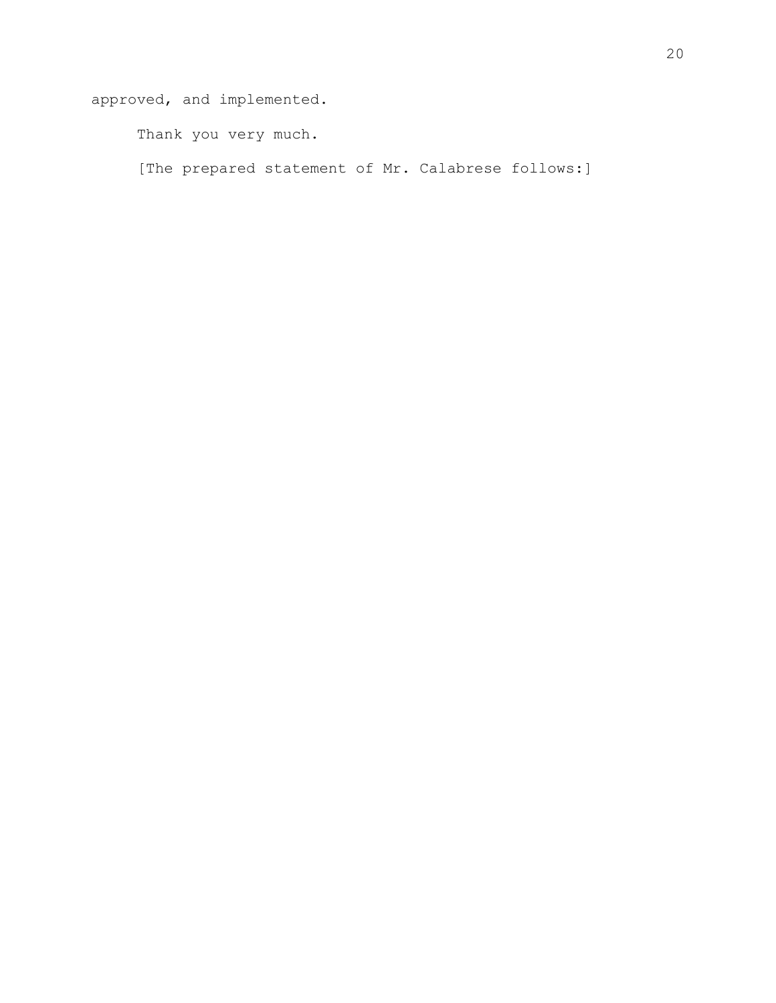approved, and implemented.

Thank you very much.

[The prepared statement of Mr. Calabrese follows:]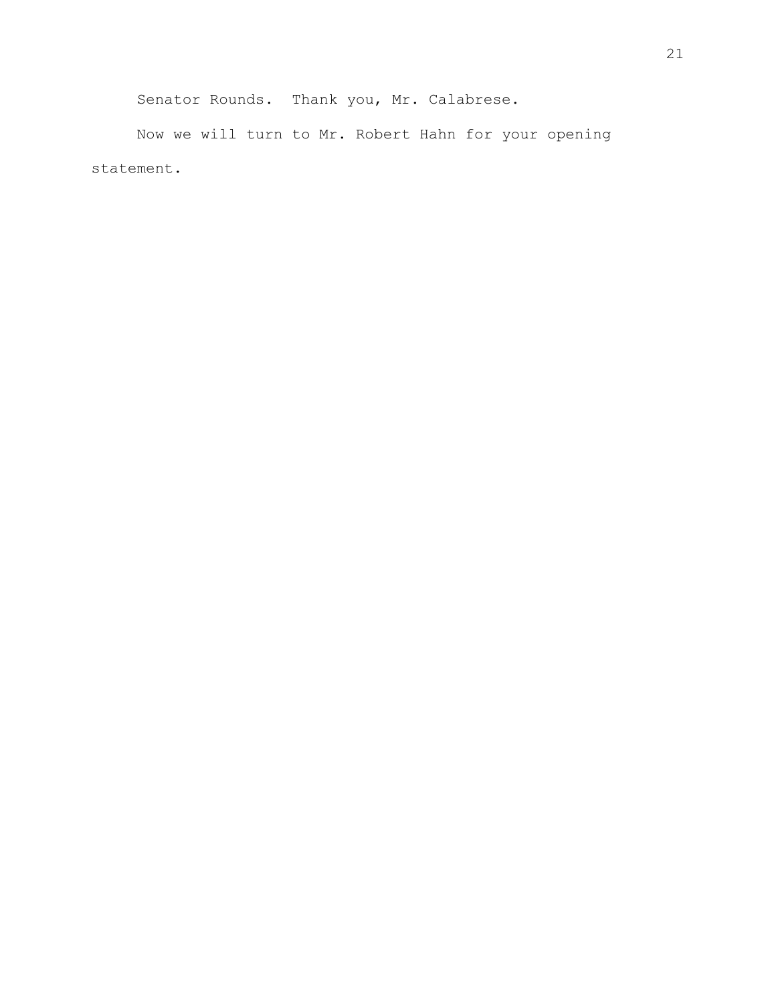Senator Rounds. Thank you, Mr. Calabrese.

Now we will turn to Mr. Robert Hahn for your opening statement.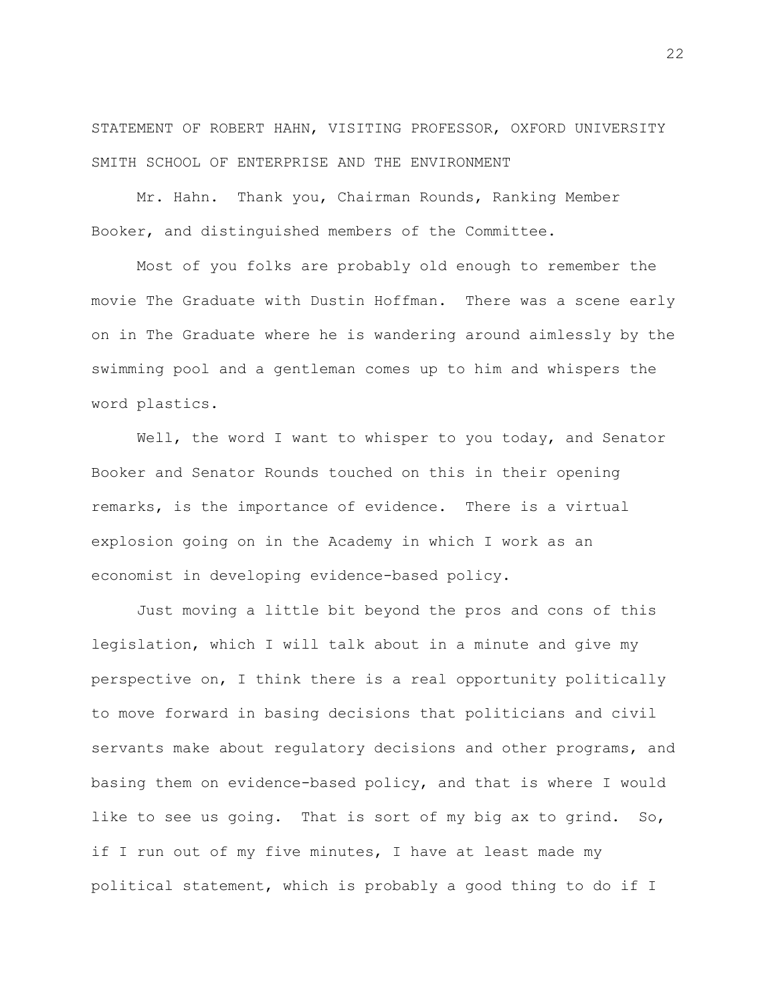STATEMENT OF ROBERT HAHN, VISITING PROFESSOR, OXFORD UNIVERSITY SMITH SCHOOL OF ENTERPRISE AND THE ENVIRONMENT

Mr. Hahn. Thank you, Chairman Rounds, Ranking Member Booker, and distinguished members of the Committee.

Most of you folks are probably old enough to remember the movie The Graduate with Dustin Hoffman. There was a scene early on in The Graduate where he is wandering around aimlessly by the swimming pool and a gentleman comes up to him and whispers the word plastics.

Well, the word I want to whisper to you today, and Senator Booker and Senator Rounds touched on this in their opening remarks, is the importance of evidence. There is a virtual explosion going on in the Academy in which I work as an economist in developing evidence-based policy.

Just moving a little bit beyond the pros and cons of this legislation, which I will talk about in a minute and give my perspective on, I think there is a real opportunity politically to move forward in basing decisions that politicians and civil servants make about regulatory decisions and other programs, and basing them on evidence-based policy, and that is where I would like to see us going. That is sort of my big ax to grind. So, if I run out of my five minutes, I have at least made my political statement, which is probably a good thing to do if I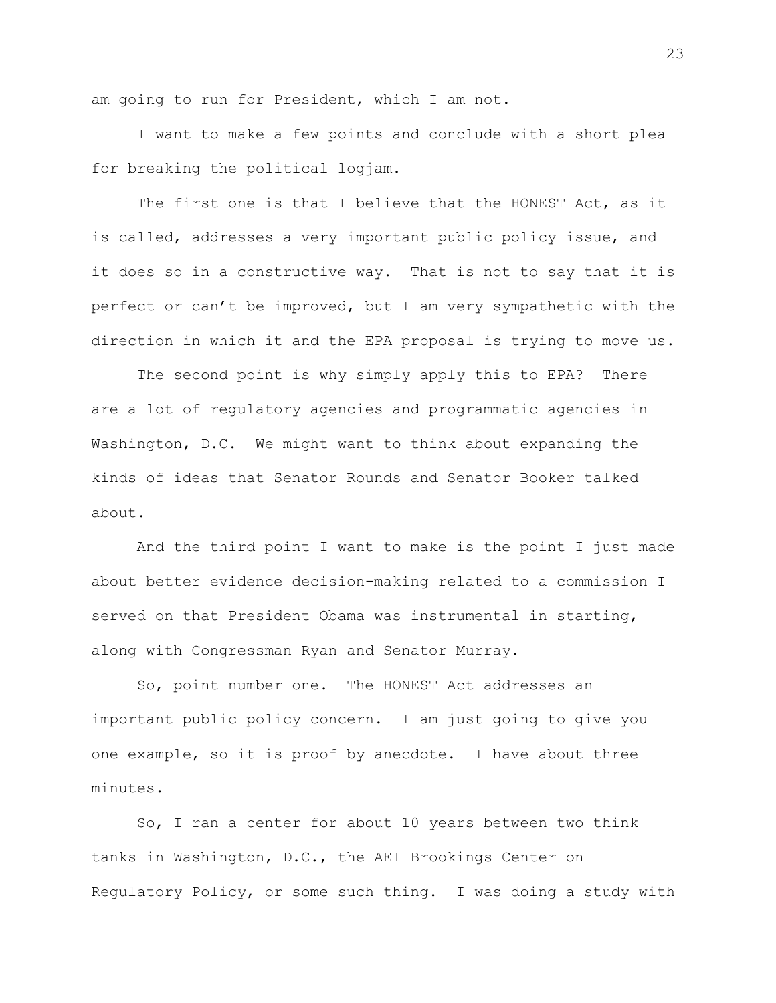am going to run for President, which I am not.

I want to make a few points and conclude with a short plea for breaking the political logjam.

The first one is that I believe that the HONEST Act, as it is called, addresses a very important public policy issue, and it does so in a constructive way. That is not to say that it is perfect or can't be improved, but I am very sympathetic with the direction in which it and the EPA proposal is trying to move us.

The second point is why simply apply this to EPA? There are a lot of regulatory agencies and programmatic agencies in Washington, D.C. We might want to think about expanding the kinds of ideas that Senator Rounds and Senator Booker talked about.

And the third point I want to make is the point I just made about better evidence decision-making related to a commission I served on that President Obama was instrumental in starting, along with Congressman Ryan and Senator Murray.

So, point number one. The HONEST Act addresses an important public policy concern. I am just going to give you one example, so it is proof by anecdote. I have about three minutes.

So, I ran a center for about 10 years between two think tanks in Washington, D.C., the AEI Brookings Center on Regulatory Policy, or some such thing. I was doing a study with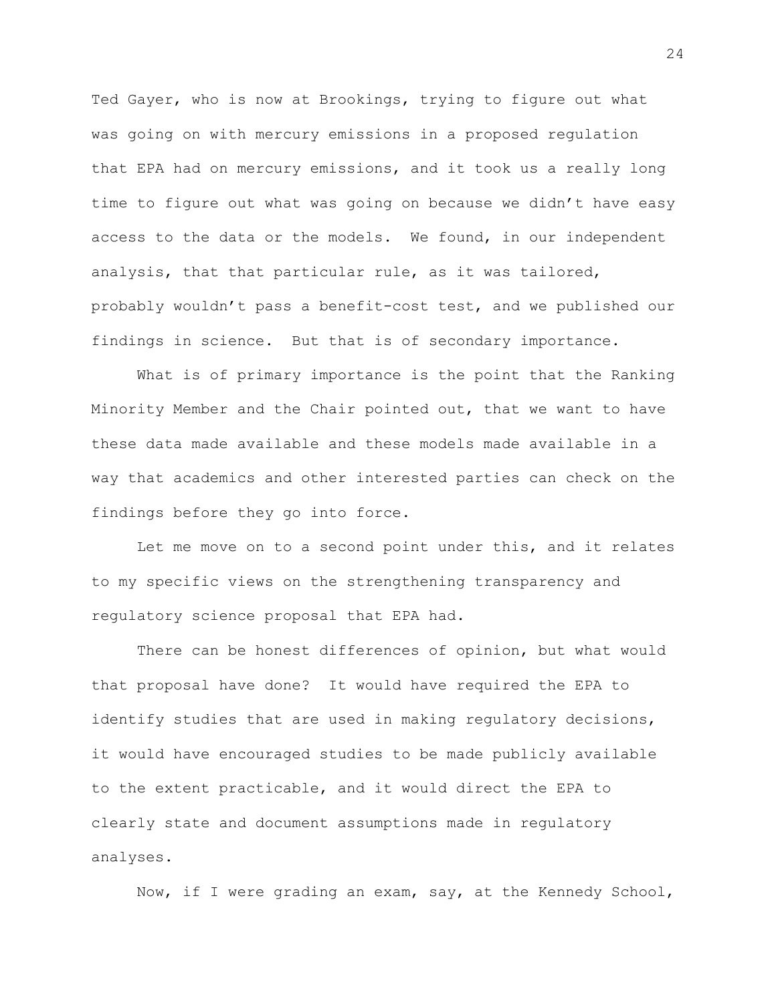Ted Gayer, who is now at Brookings, trying to figure out what was going on with mercury emissions in a proposed regulation that EPA had on mercury emissions, and it took us a really long time to figure out what was going on because we didn't have easy access to the data or the models. We found, in our independent analysis, that that particular rule, as it was tailored, probably wouldn't pass a benefit-cost test, and we published our findings in science. But that is of secondary importance.

What is of primary importance is the point that the Ranking Minority Member and the Chair pointed out, that we want to have these data made available and these models made available in a way that academics and other interested parties can check on the findings before they go into force.

Let me move on to a second point under this, and it relates to my specific views on the strengthening transparency and regulatory science proposal that EPA had.

There can be honest differences of opinion, but what would that proposal have done? It would have required the EPA to identify studies that are used in making regulatory decisions, it would have encouraged studies to be made publicly available to the extent practicable, and it would direct the EPA to clearly state and document assumptions made in regulatory analyses.

Now, if I were grading an exam, say, at the Kennedy School,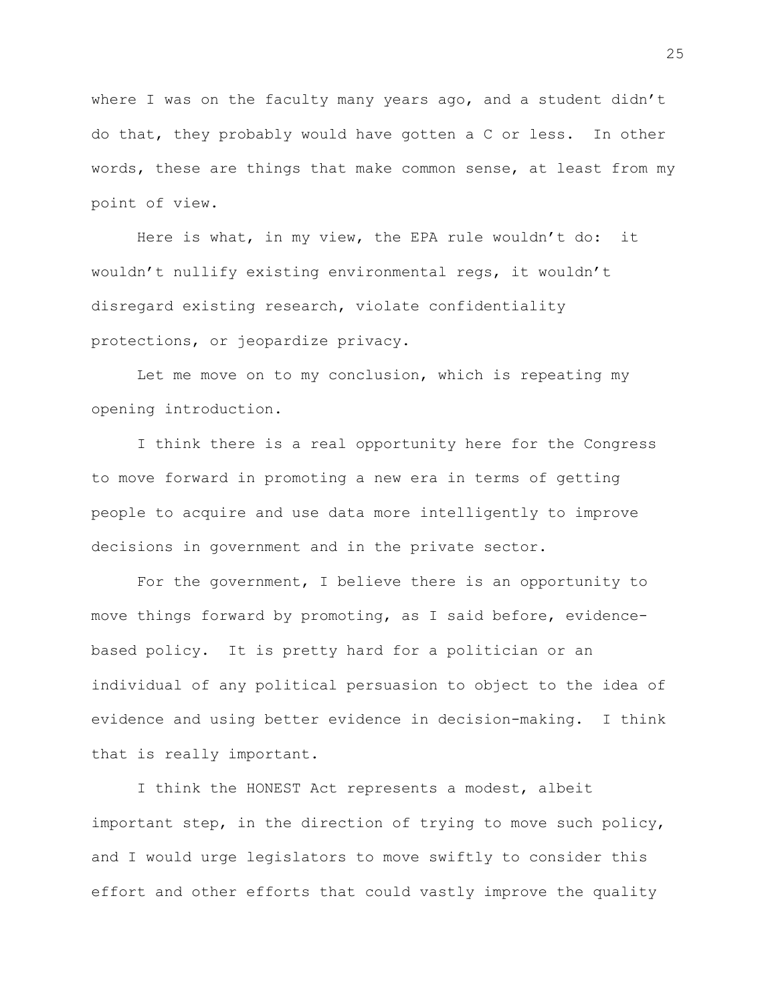where I was on the faculty many years ago, and a student didn't do that, they probably would have gotten a C or less. In other words, these are things that make common sense, at least from my point of view.

Here is what, in my view, the EPA rule wouldn't do: it wouldn't nullify existing environmental regs, it wouldn't disregard existing research, violate confidentiality protections, or jeopardize privacy.

Let me move on to my conclusion, which is repeating my opening introduction.

I think there is a real opportunity here for the Congress to move forward in promoting a new era in terms of getting people to acquire and use data more intelligently to improve decisions in government and in the private sector.

For the government, I believe there is an opportunity to move things forward by promoting, as I said before, evidencebased policy. It is pretty hard for a politician or an individual of any political persuasion to object to the idea of evidence and using better evidence in decision-making. I think that is really important.

I think the HONEST Act represents a modest, albeit important step, in the direction of trying to move such policy, and I would urge legislators to move swiftly to consider this effort and other efforts that could vastly improve the quality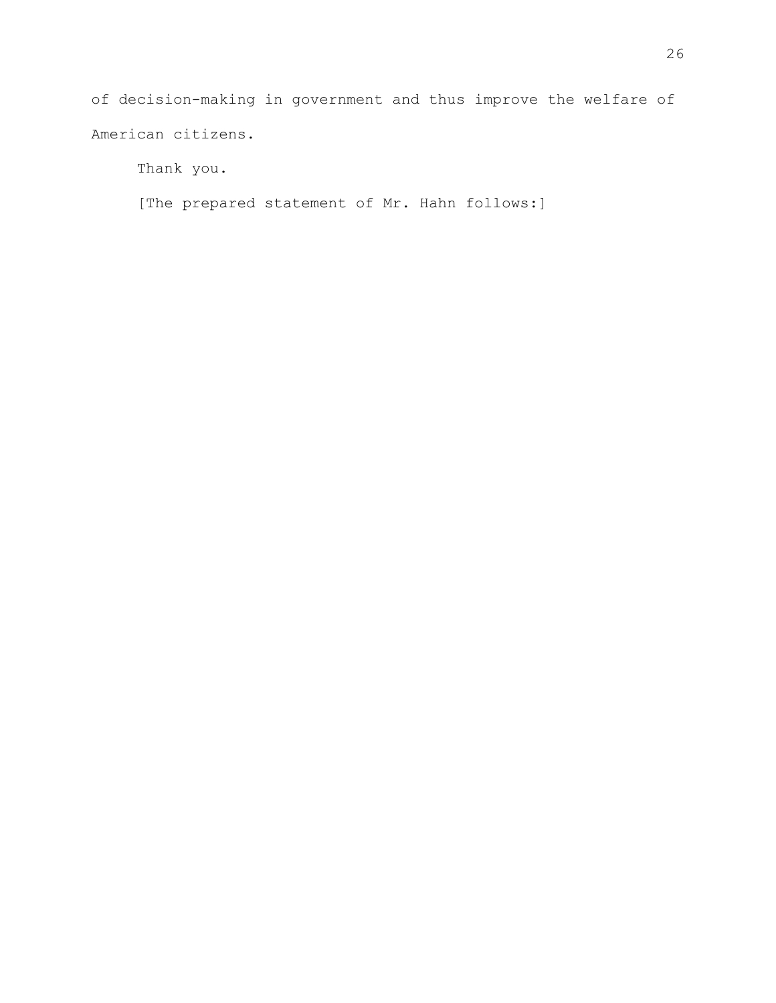of decision-making in government and thus improve the welfare of American citizens.

Thank you.

[The prepared statement of Mr. Hahn follows:]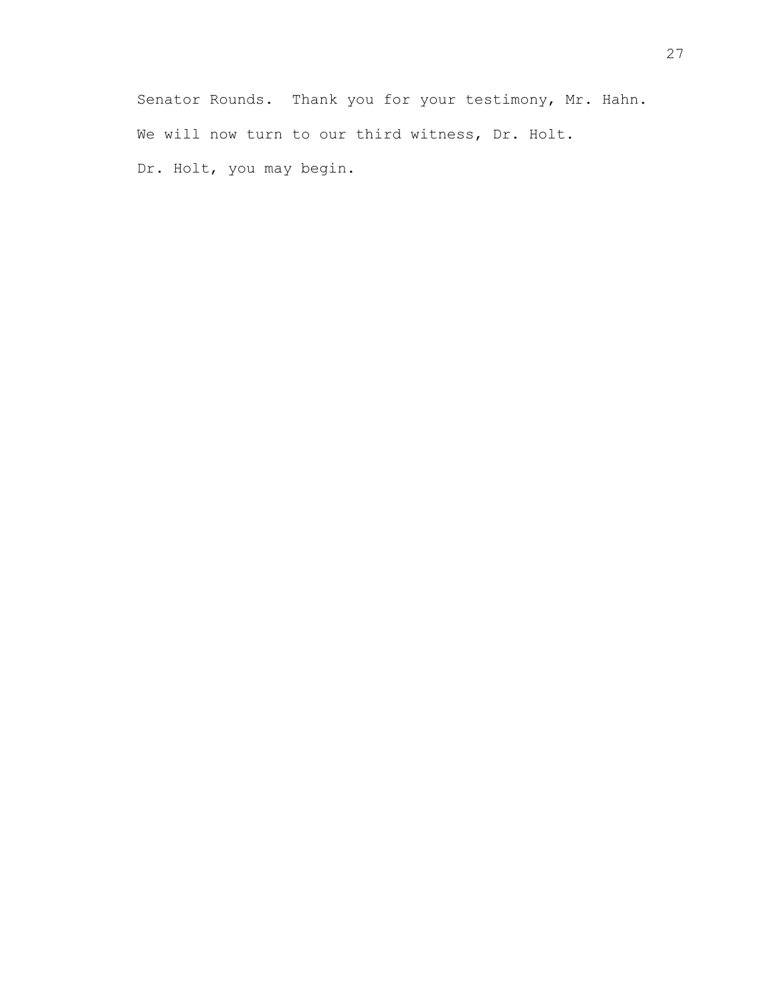Senator Rounds. Thank you for your testimony, Mr. Hahn. We will now turn to our third witness, Dr. Holt. Dr. Holt, you may begin.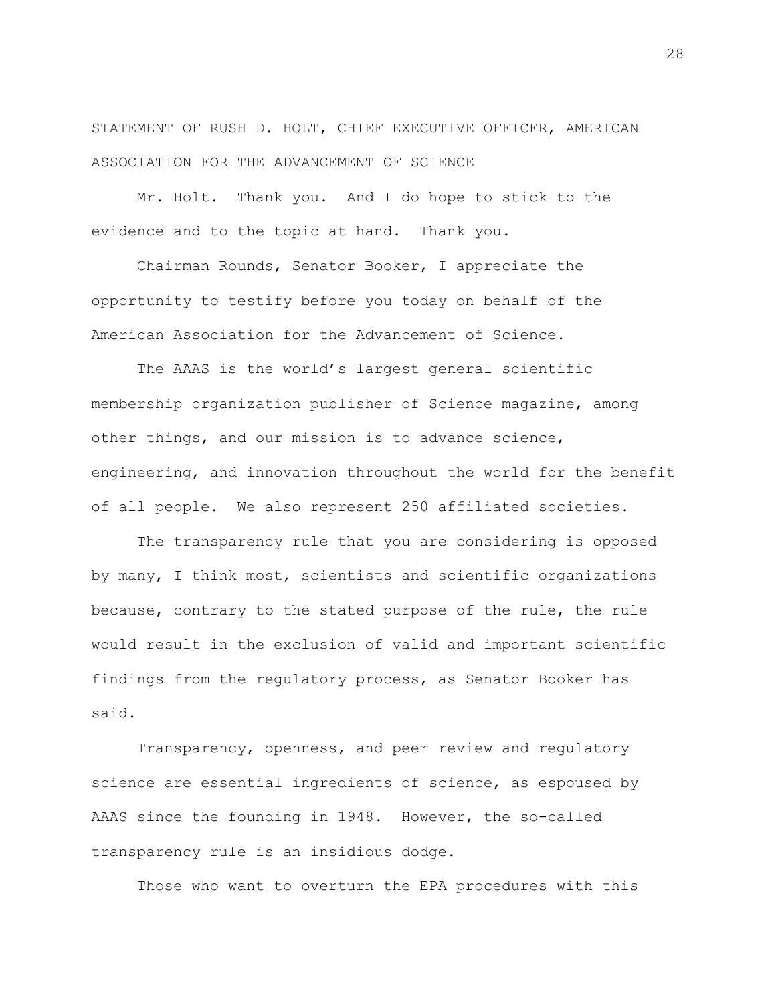STATEMENT OF RUSH D. HOLT, CHIEF EXECUTIVE OFFICER, AMERICAN ASSOCIATION FOR THE ADVANCEMENT OF SCIENCE

Mr. Holt. Thank you. And I do hope to stick to the evidence and to the topic at hand. Thank you.

Chairman Rounds, Senator Booker, I appreciate the opportunity to testify before you today on behalf of the American Association for the Advancement of Science.

The AAAS is the world's largest general scientific membership organization publisher of Science magazine, among other things, and our mission is to advance science, engineering, and innovation throughout the world for the benefit of all people. We also represent 250 affiliated societies.

The transparency rule that you are considering is opposed by many, I think most, scientists and scientific organizations because, contrary to the stated purpose of the rule, the rule would result in the exclusion of valid and important scientific findings from the regulatory process, as Senator Booker has said.

Transparency, openness, and peer review and regulatory science are essential ingredients of science, as espoused by AAAS since the founding in 1948. However, the so-called transparency rule is an insidious dodge.

Those who want to overturn the EPA procedures with this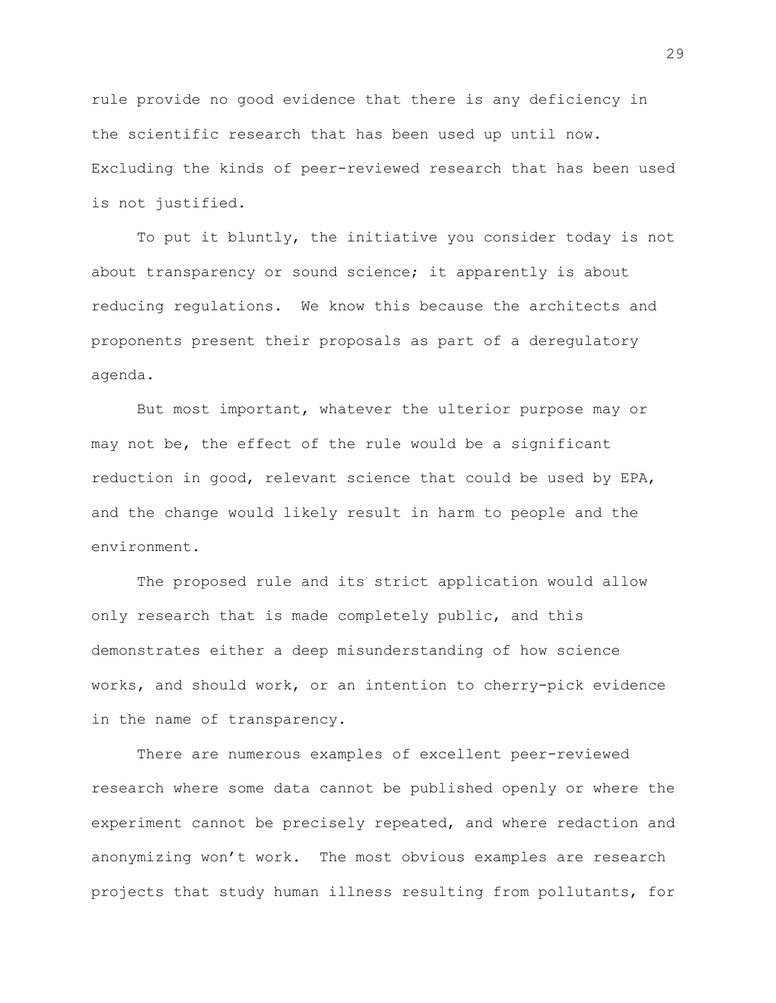rule provide no good evidence that there is any deficiency in the scientific research that has been used up until now. Excluding the kinds of peer-reviewed research that has been used is not justified.

To put it bluntly, the initiative you consider today is not about transparency or sound science; it apparently is about reducing regulations. We know this because the architects and proponents present their proposals as part of a deregulatory agenda.

But most important, whatever the ulterior purpose may or may not be, the effect of the rule would be a significant reduction in good, relevant science that could be used by EPA, and the change would likely result in harm to people and the environment.

The proposed rule and its strict application would allow only research that is made completely public, and this demonstrates either a deep misunderstanding of how science works, and should work, or an intention to cherry-pick evidence in the name of transparency.

There are numerous examples of excellent peer-reviewed research where some data cannot be published openly or where the experiment cannot be precisely repeated, and where redaction and anonymizing won't work. The most obvious examples are research projects that study human illness resulting from pollutants, for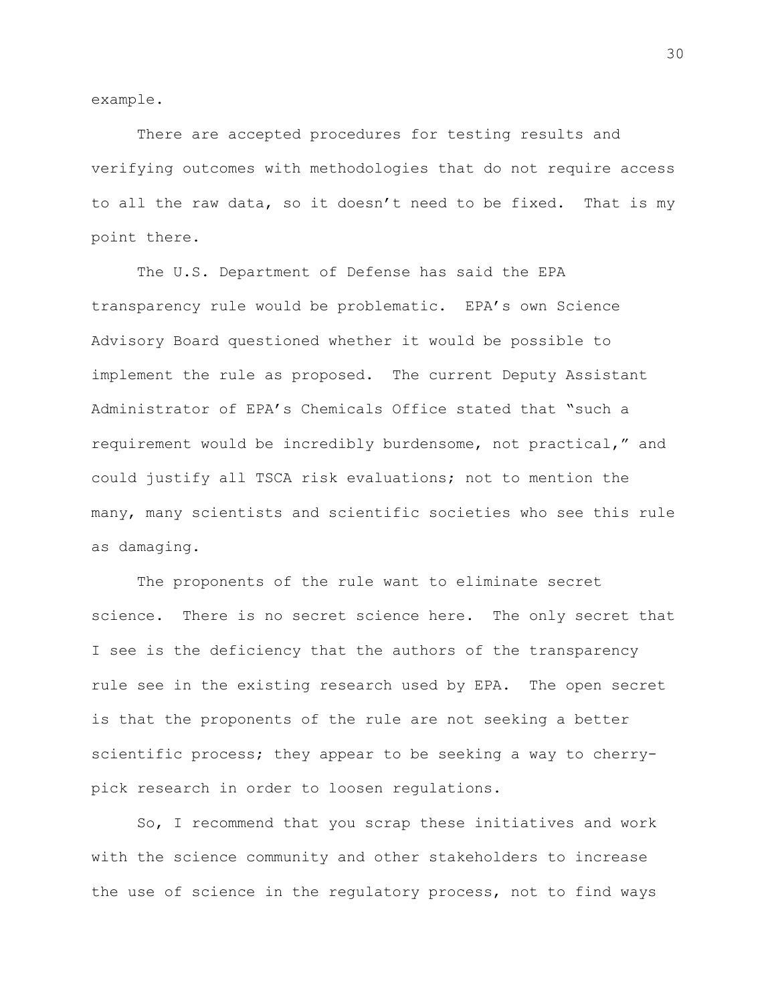example.

There are accepted procedures for testing results and verifying outcomes with methodologies that do not require access to all the raw data, so it doesn't need to be fixed. That is my point there.

The U.S. Department of Defense has said the EPA transparency rule would be problematic. EPA's own Science Advisory Board questioned whether it would be possible to implement the rule as proposed. The current Deputy Assistant Administrator of EPA's Chemicals Office stated that "such a requirement would be incredibly burdensome, not practical," and could justify all TSCA risk evaluations; not to mention the many, many scientists and scientific societies who see this rule as damaging.

The proponents of the rule want to eliminate secret science. There is no secret science here. The only secret that I see is the deficiency that the authors of the transparency rule see in the existing research used by EPA. The open secret is that the proponents of the rule are not seeking a better scientific process; they appear to be seeking a way to cherrypick research in order to loosen regulations.

So, I recommend that you scrap these initiatives and work with the science community and other stakeholders to increase the use of science in the regulatory process, not to find ways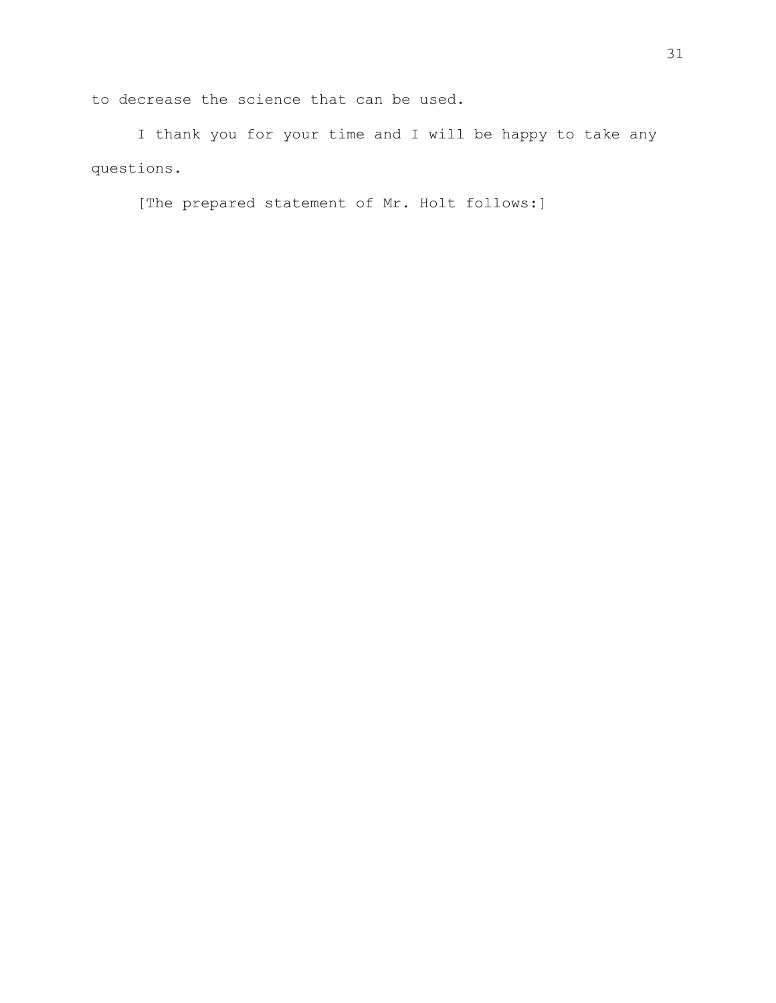to decrease the science that can be used.

I thank you for your time and I will be happy to take any questions.

[The prepared statement of Mr. Holt follows:]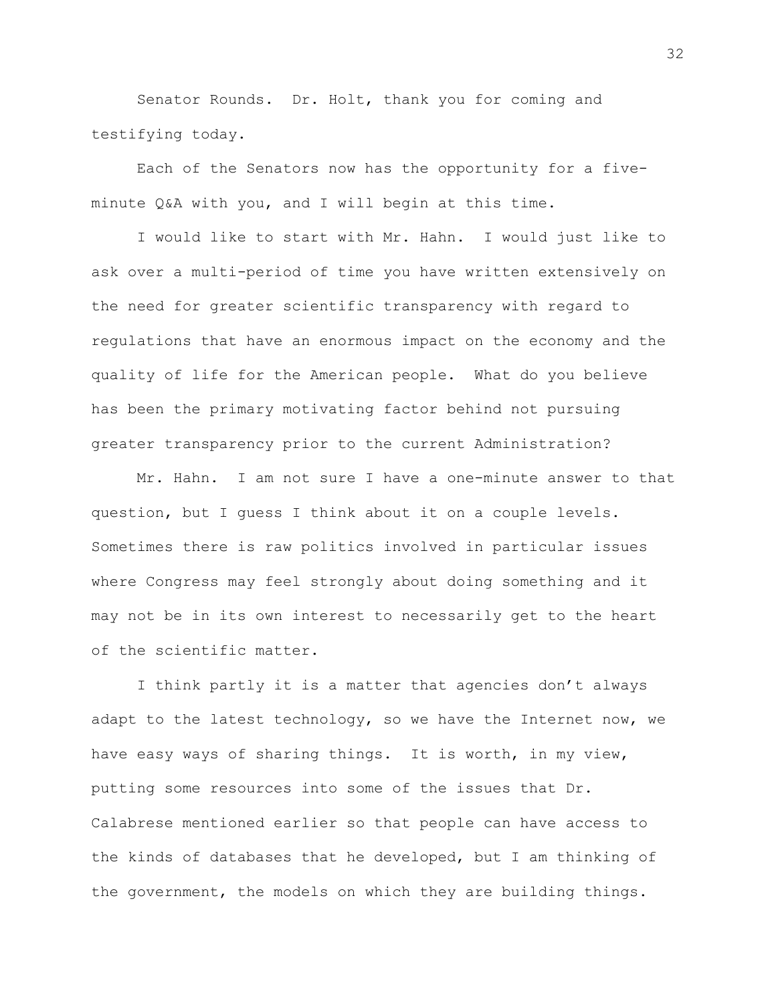Senator Rounds. Dr. Holt, thank you for coming and testifying today.

Each of the Senators now has the opportunity for a fiveminute Q&A with you, and I will begin at this time.

I would like to start with Mr. Hahn. I would just like to ask over a multi-period of time you have written extensively on the need for greater scientific transparency with regard to regulations that have an enormous impact on the economy and the quality of life for the American people. What do you believe has been the primary motivating factor behind not pursuing greater transparency prior to the current Administration?

Mr. Hahn. I am not sure I have a one-minute answer to that question, but I guess I think about it on a couple levels. Sometimes there is raw politics involved in particular issues where Congress may feel strongly about doing something and it may not be in its own interest to necessarily get to the heart of the scientific matter.

I think partly it is a matter that agencies don't always adapt to the latest technology, so we have the Internet now, we have easy ways of sharing things. It is worth, in my view, putting some resources into some of the issues that Dr. Calabrese mentioned earlier so that people can have access to the kinds of databases that he developed, but I am thinking of the government, the models on which they are building things.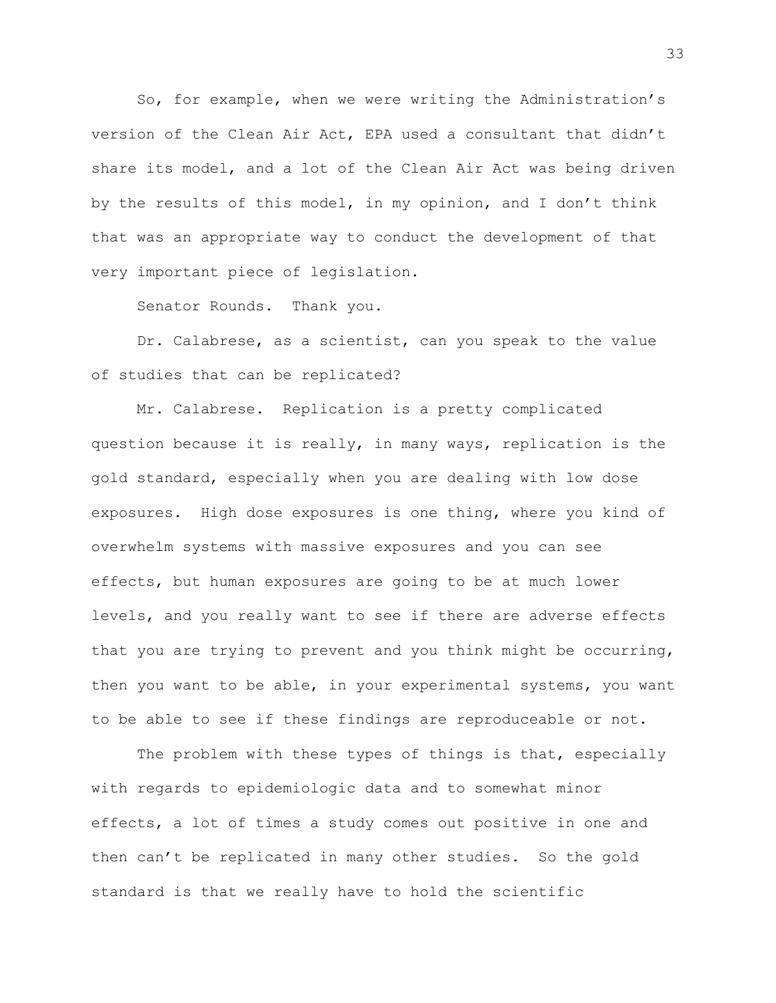So, for example, when we were writing the Administration's version of the Clean Air Act, EPA used a consultant that didn't share its model, and a lot of the Clean Air Act was being driven by the results of this model, in my opinion, and I don't think that was an appropriate way to conduct the development of that very important piece of legislation.

Senator Rounds. Thank you.

Dr. Calabrese, as a scientist, can you speak to the value of studies that can be replicated?

Mr. Calabrese. Replication is a pretty complicated question because it is really, in many ways, replication is the gold standard, especially when you are dealing with low dose exposures. High dose exposures is one thing, where you kind of overwhelm systems with massive exposures and you can see effects, but human exposures are going to be at much lower levels, and you really want to see if there are adverse effects that you are trying to prevent and you think might be occurring, then you want to be able, in your experimental systems, you want to be able to see if these findings are reproduceable or not.

The problem with these types of things is that, especially with regards to epidemiologic data and to somewhat minor effects, a lot of times a study comes out positive in one and then can't be replicated in many other studies. So the gold standard is that we really have to hold the scientific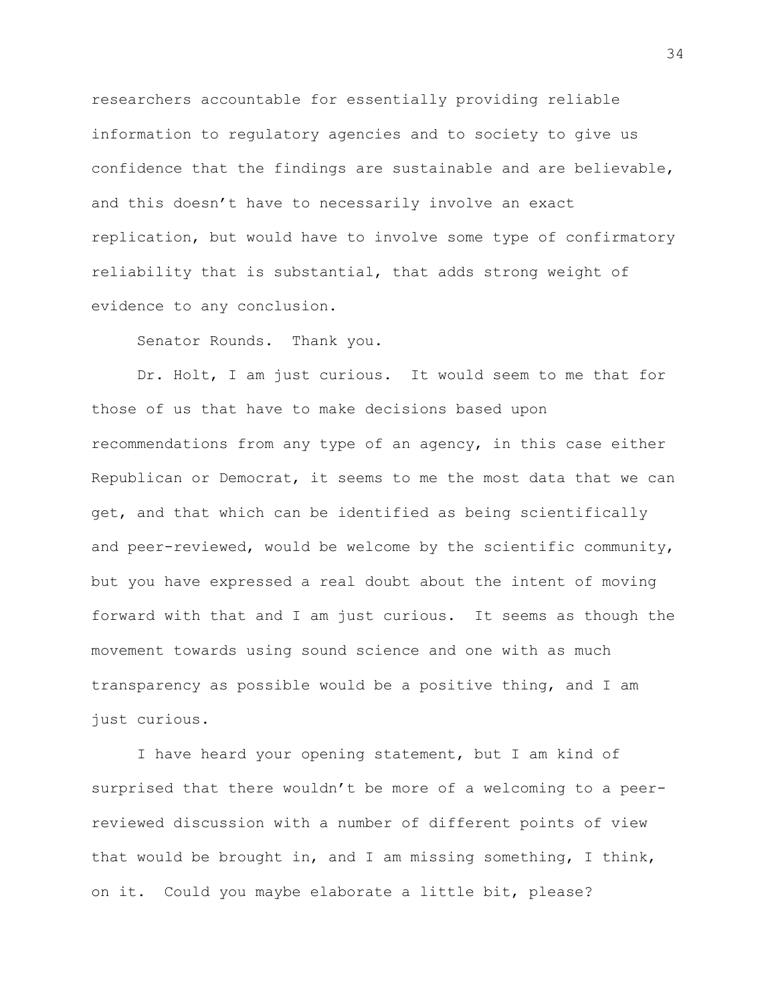researchers accountable for essentially providing reliable information to regulatory agencies and to society to give us confidence that the findings are sustainable and are believable, and this doesn't have to necessarily involve an exact replication, but would have to involve some type of confirmatory reliability that is substantial, that adds strong weight of evidence to any conclusion.

Senator Rounds. Thank you.

Dr. Holt, I am just curious. It would seem to me that for those of us that have to make decisions based upon recommendations from any type of an agency, in this case either Republican or Democrat, it seems to me the most data that we can get, and that which can be identified as being scientifically and peer-reviewed, would be welcome by the scientific community, but you have expressed a real doubt about the intent of moving forward with that and I am just curious. It seems as though the movement towards using sound science and one with as much transparency as possible would be a positive thing, and I am just curious.

I have heard your opening statement, but I am kind of surprised that there wouldn't be more of a welcoming to a peerreviewed discussion with a number of different points of view that would be brought in, and I am missing something, I think, on it. Could you maybe elaborate a little bit, please?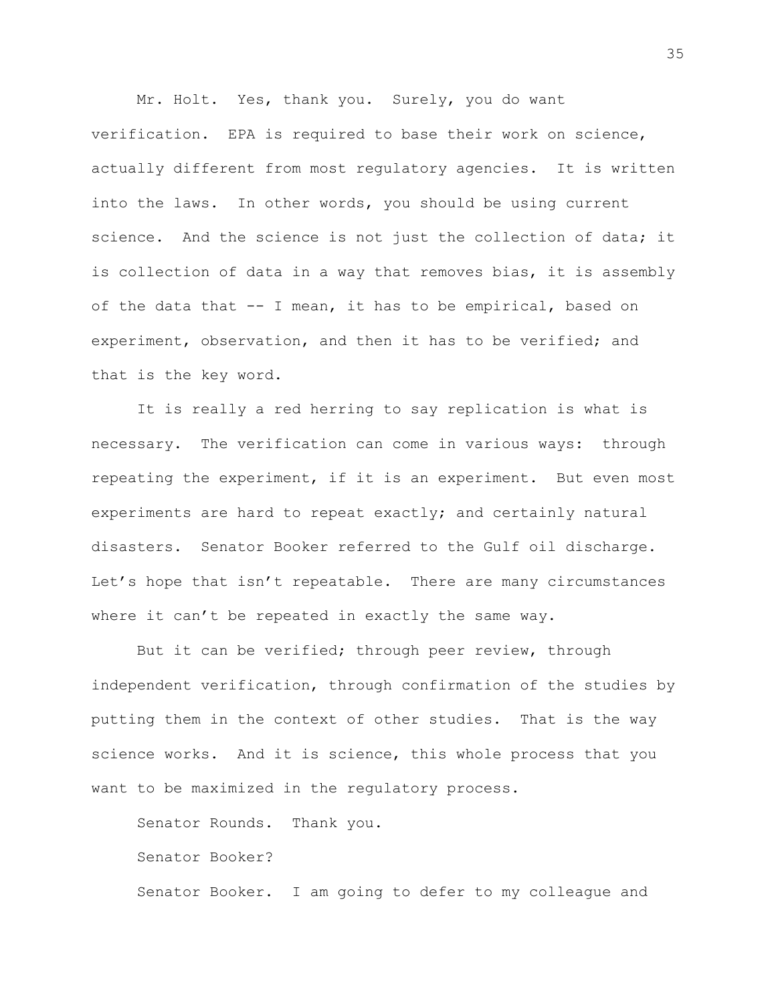Mr. Holt. Yes, thank you. Surely, you do want verification. EPA is required to base their work on science, actually different from most regulatory agencies. It is written into the laws. In other words, you should be using current science. And the science is not just the collection of data; it is collection of data in a way that removes bias, it is assembly of the data that -- I mean, it has to be empirical, based on experiment, observation, and then it has to be verified; and that is the key word.

It is really a red herring to say replication is what is necessary. The verification can come in various ways: through repeating the experiment, if it is an experiment. But even most experiments are hard to repeat exactly; and certainly natural disasters. Senator Booker referred to the Gulf oil discharge. Let's hope that isn't repeatable. There are many circumstances where it can't be repeated in exactly the same way.

But it can be verified; through peer review, through independent verification, through confirmation of the studies by putting them in the context of other studies. That is the way science works. And it is science, this whole process that you want to be maximized in the regulatory process.

Senator Rounds. Thank you. Senator Booker? Senator Booker. I am going to defer to my colleague and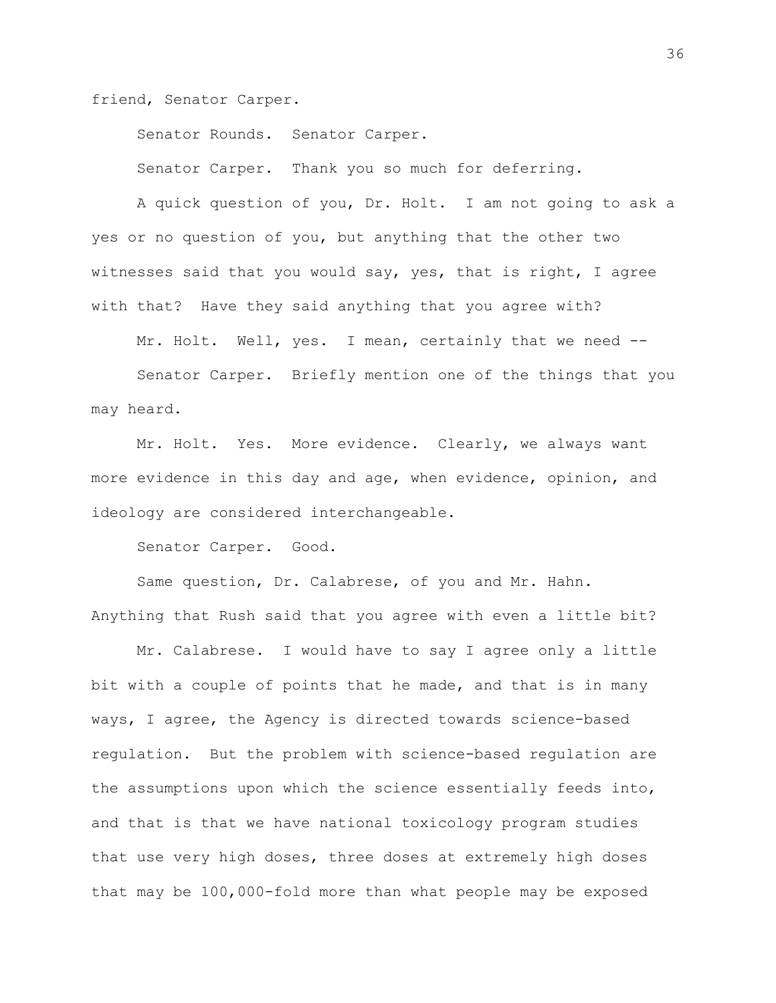friend, Senator Carper.

Senator Rounds. Senator Carper.

Senator Carper. Thank you so much for deferring.

A quick question of you, Dr. Holt. I am not going to ask a yes or no question of you, but anything that the other two witnesses said that you would say, yes, that is right, I agree with that? Have they said anything that you agree with?

Mr. Holt. Well, yes. I mean, certainly that we need --

Senator Carper. Briefly mention one of the things that you may heard.

Mr. Holt. Yes. More evidence. Clearly, we always want more evidence in this day and age, when evidence, opinion, and ideology are considered interchangeable.

Senator Carper. Good.

Same question, Dr. Calabrese, of you and Mr. Hahn. Anything that Rush said that you agree with even a little bit?

Mr. Calabrese. I would have to say I agree only a little bit with a couple of points that he made, and that is in many ways, I agree, the Agency is directed towards science-based regulation. But the problem with science-based regulation are the assumptions upon which the science essentially feeds into, and that is that we have national toxicology program studies that use very high doses, three doses at extremely high doses that may be 100,000-fold more than what people may be exposed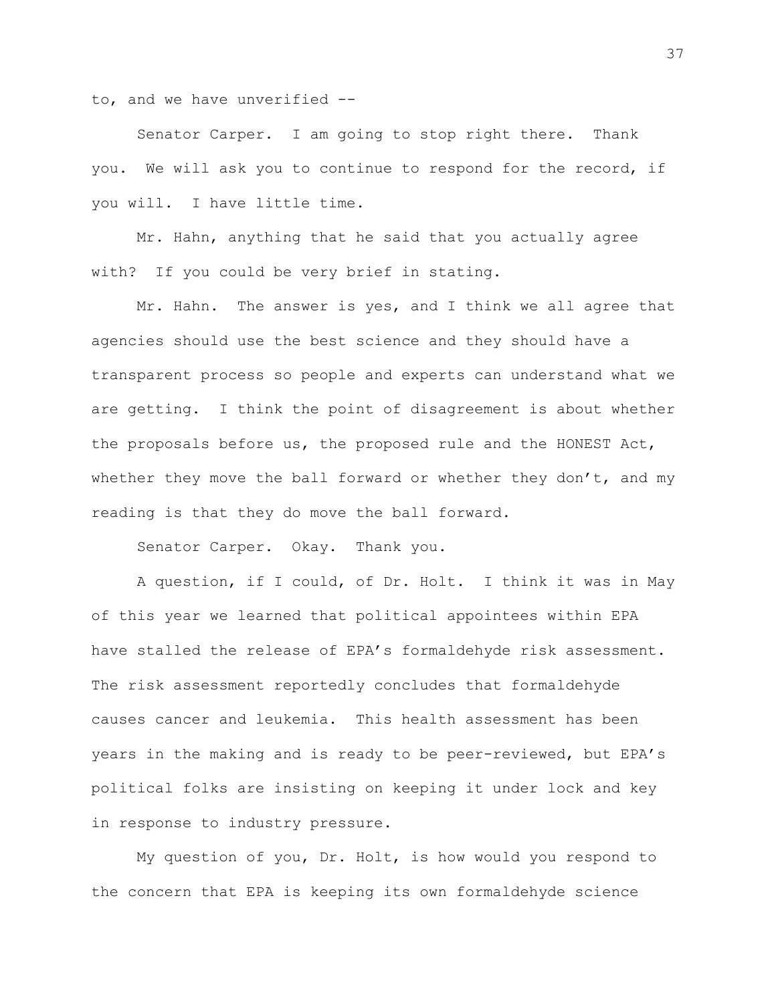to, and we have unverified --

Senator Carper. I am going to stop right there. Thank you. We will ask you to continue to respond for the record, if you will. I have little time.

Mr. Hahn, anything that he said that you actually agree with? If you could be very brief in stating.

Mr. Hahn. The answer is yes, and I think we all agree that agencies should use the best science and they should have a transparent process so people and experts can understand what we are getting. I think the point of disagreement is about whether the proposals before us, the proposed rule and the HONEST Act, whether they move the ball forward or whether they don't, and my reading is that they do move the ball forward.

Senator Carper. Okay. Thank you.

A question, if I could, of Dr. Holt. I think it was in May of this year we learned that political appointees within EPA have stalled the release of EPA's formaldehyde risk assessment. The risk assessment reportedly concludes that formaldehyde causes cancer and leukemia. This health assessment has been years in the making and is ready to be peer-reviewed, but EPA's political folks are insisting on keeping it under lock and key in response to industry pressure.

My question of you, Dr. Holt, is how would you respond to the concern that EPA is keeping its own formaldehyde science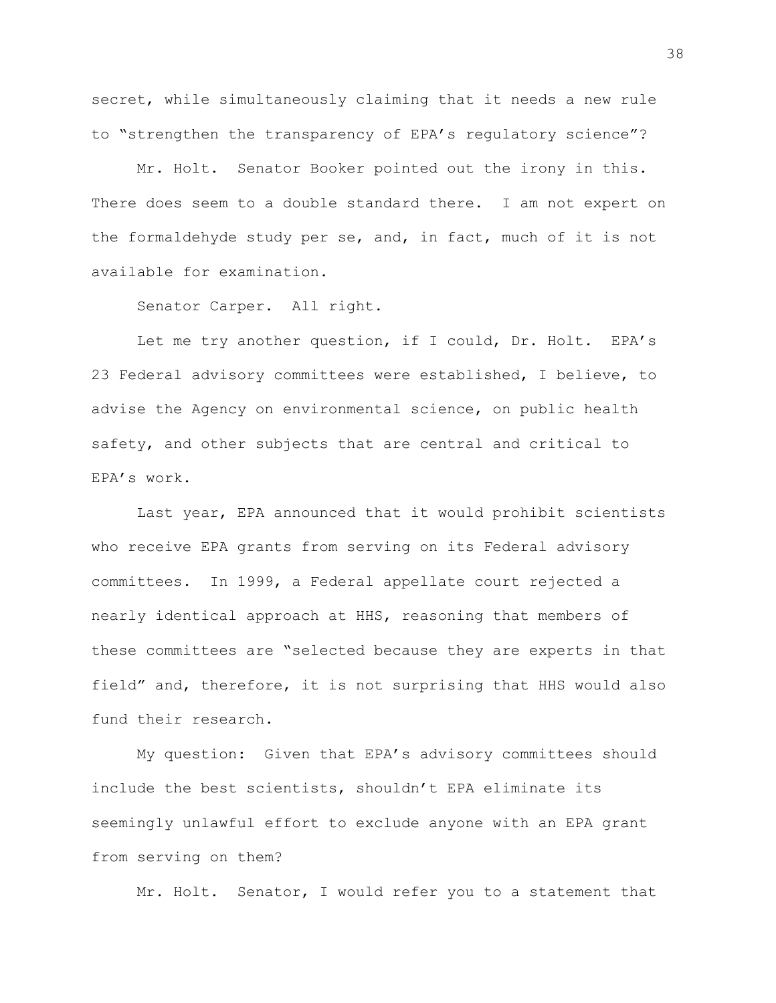secret, while simultaneously claiming that it needs a new rule to "strengthen the transparency of EPA's regulatory science"?

Mr. Holt. Senator Booker pointed out the irony in this. There does seem to a double standard there. I am not expert on the formaldehyde study per se, and, in fact, much of it is not available for examination.

Senator Carper. All right.

Let me try another question, if I could, Dr. Holt. EPA's 23 Federal advisory committees were established, I believe, to advise the Agency on environmental science, on public health safety, and other subjects that are central and critical to EPA's work.

Last year, EPA announced that it would prohibit scientists who receive EPA grants from serving on its Federal advisory committees. In 1999, a Federal appellate court rejected a nearly identical approach at HHS, reasoning that members of these committees are "selected because they are experts in that field" and, therefore, it is not surprising that HHS would also fund their research.

My question: Given that EPA's advisory committees should include the best scientists, shouldn't EPA eliminate its seemingly unlawful effort to exclude anyone with an EPA grant from serving on them?

Mr. Holt. Senator, I would refer you to a statement that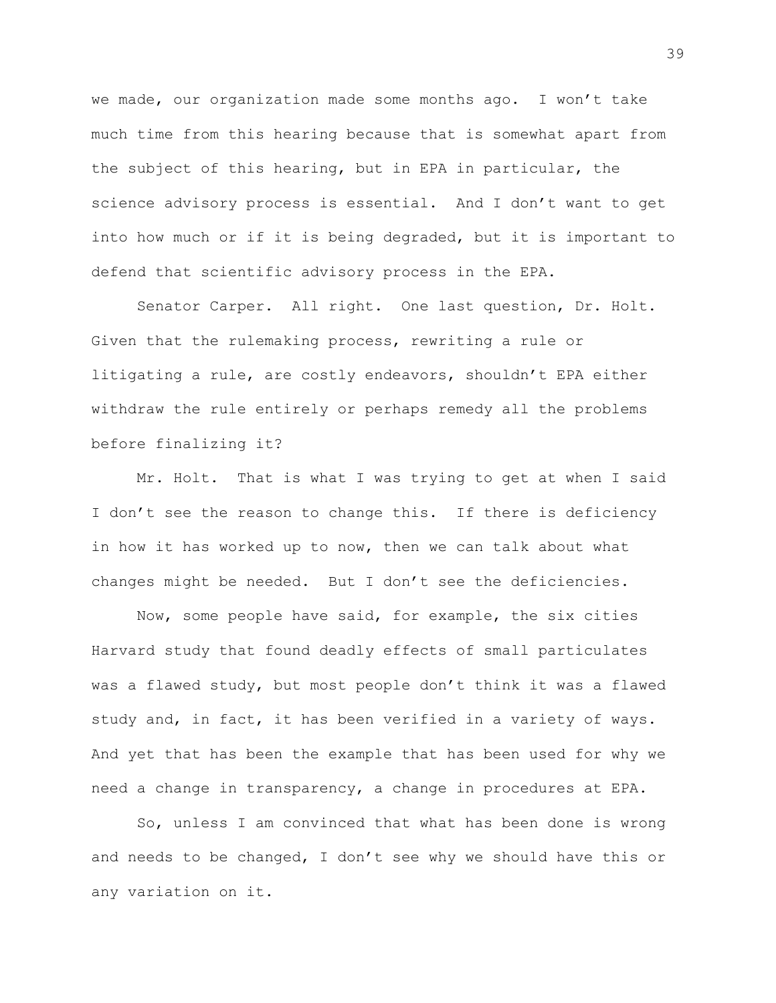we made, our organization made some months ago. I won't take much time from this hearing because that is somewhat apart from the subject of this hearing, but in EPA in particular, the science advisory process is essential. And I don't want to get into how much or if it is being degraded, but it is important to defend that scientific advisory process in the EPA.

Senator Carper. All right. One last question, Dr. Holt. Given that the rulemaking process, rewriting a rule or litigating a rule, are costly endeavors, shouldn't EPA either withdraw the rule entirely or perhaps remedy all the problems before finalizing it?

Mr. Holt. That is what I was trying to get at when I said I don't see the reason to change this. If there is deficiency in how it has worked up to now, then we can talk about what changes might be needed. But I don't see the deficiencies.

Now, some people have said, for example, the six cities Harvard study that found deadly effects of small particulates was a flawed study, but most people don't think it was a flawed study and, in fact, it has been verified in a variety of ways. And yet that has been the example that has been used for why we need a change in transparency, a change in procedures at EPA.

So, unless I am convinced that what has been done is wrong and needs to be changed, I don't see why we should have this or any variation on it.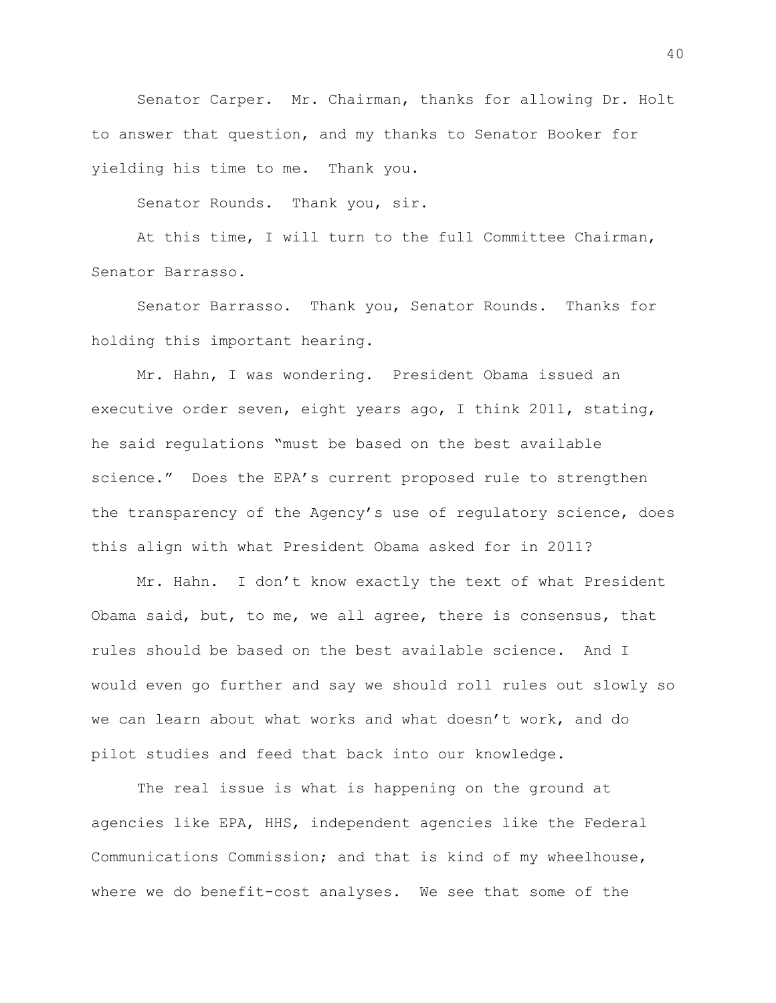Senator Carper. Mr. Chairman, thanks for allowing Dr. Holt to answer that question, and my thanks to Senator Booker for yielding his time to me. Thank you.

Senator Rounds. Thank you, sir.

At this time, I will turn to the full Committee Chairman, Senator Barrasso.

Senator Barrasso. Thank you, Senator Rounds. Thanks for holding this important hearing.

Mr. Hahn, I was wondering. President Obama issued an executive order seven, eight years ago, I think 2011, stating, he said regulations "must be based on the best available science." Does the EPA's current proposed rule to strengthen the transparency of the Agency's use of regulatory science, does this align with what President Obama asked for in 2011?

Mr. Hahn. I don't know exactly the text of what President Obama said, but, to me, we all agree, there is consensus, that rules should be based on the best available science. And I would even go further and say we should roll rules out slowly so we can learn about what works and what doesn't work, and do pilot studies and feed that back into our knowledge.

The real issue is what is happening on the ground at agencies like EPA, HHS, independent agencies like the Federal Communications Commission; and that is kind of my wheelhouse, where we do benefit-cost analyses. We see that some of the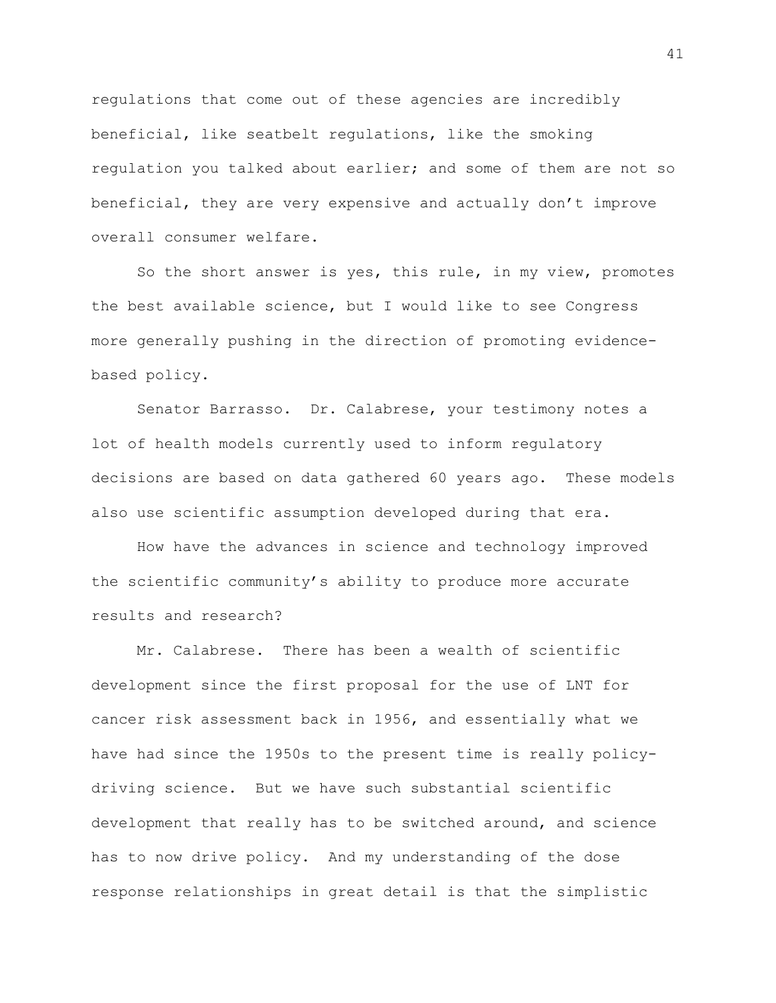regulations that come out of these agencies are incredibly beneficial, like seatbelt regulations, like the smoking regulation you talked about earlier; and some of them are not so beneficial, they are very expensive and actually don't improve overall consumer welfare.

So the short answer is yes, this rule, in my view, promotes the best available science, but I would like to see Congress more generally pushing in the direction of promoting evidencebased policy.

Senator Barrasso. Dr. Calabrese, your testimony notes a lot of health models currently used to inform regulatory decisions are based on data gathered 60 years ago. These models also use scientific assumption developed during that era.

How have the advances in science and technology improved the scientific community's ability to produce more accurate results and research?

Mr. Calabrese. There has been a wealth of scientific development since the first proposal for the use of LNT for cancer risk assessment back in 1956, and essentially what we have had since the 1950s to the present time is really policydriving science. But we have such substantial scientific development that really has to be switched around, and science has to now drive policy. And my understanding of the dose response relationships in great detail is that the simplistic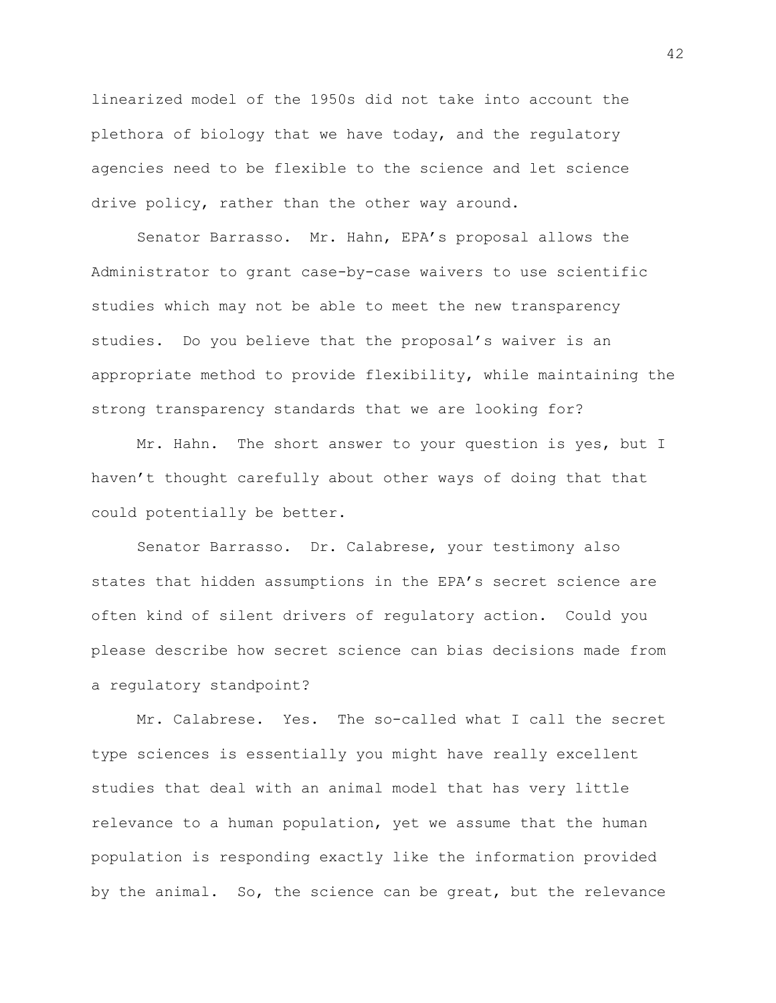linearized model of the 1950s did not take into account the plethora of biology that we have today, and the regulatory agencies need to be flexible to the science and let science drive policy, rather than the other way around.

Senator Barrasso. Mr. Hahn, EPA's proposal allows the Administrator to grant case-by-case waivers to use scientific studies which may not be able to meet the new transparency studies. Do you believe that the proposal's waiver is an appropriate method to provide flexibility, while maintaining the strong transparency standards that we are looking for?

Mr. Hahn. The short answer to your question is yes, but I haven't thought carefully about other ways of doing that that could potentially be better.

Senator Barrasso. Dr. Calabrese, your testimony also states that hidden assumptions in the EPA's secret science are often kind of silent drivers of regulatory action. Could you please describe how secret science can bias decisions made from a regulatory standpoint?

Mr. Calabrese. Yes. The so-called what I call the secret type sciences is essentially you might have really excellent studies that deal with an animal model that has very little relevance to a human population, yet we assume that the human population is responding exactly like the information provided by the animal. So, the science can be great, but the relevance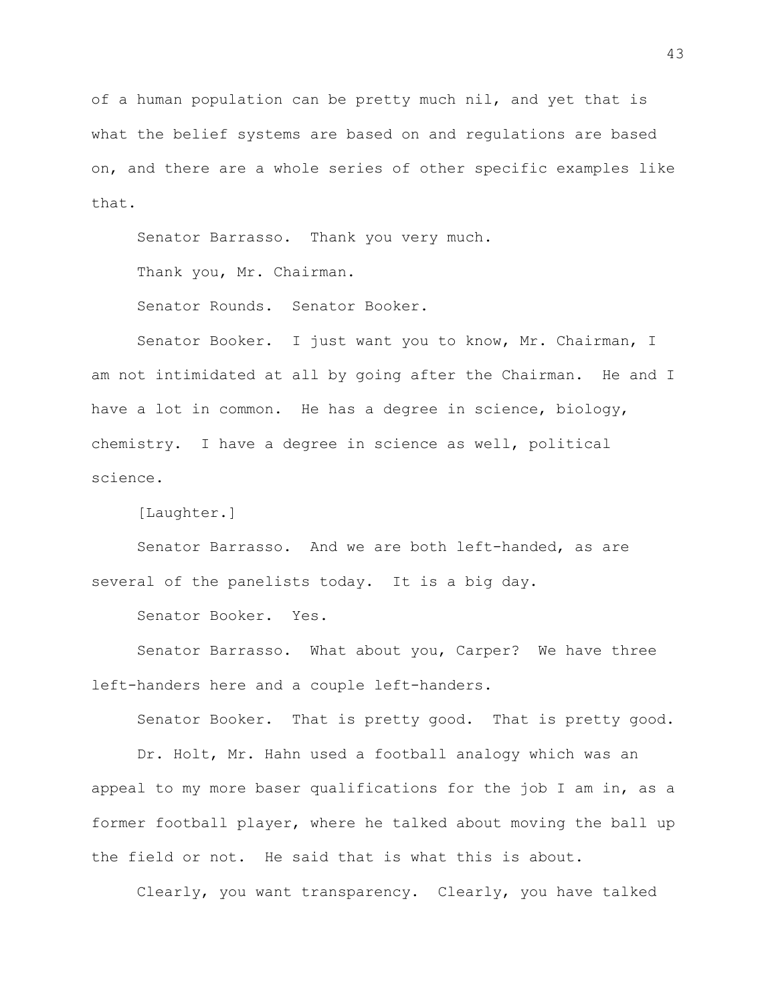of a human population can be pretty much nil, and yet that is what the belief systems are based on and regulations are based on, and there are a whole series of other specific examples like that.

Senator Barrasso. Thank you very much.

Thank you, Mr. Chairman.

Senator Rounds. Senator Booker.

Senator Booker. I just want you to know, Mr. Chairman, I am not intimidated at all by going after the Chairman. He and I have a lot in common. He has a degree in science, biology, chemistry. I have a degree in science as well, political science.

[Laughter.]

Senator Barrasso. And we are both left-handed, as are several of the panelists today. It is a big day.

Senator Booker. Yes.

Senator Barrasso. What about you, Carper? We have three left-handers here and a couple left-handers.

Senator Booker. That is pretty good. That is pretty good.

Dr. Holt, Mr. Hahn used a football analogy which was an appeal to my more baser qualifications for the job I am in, as a former football player, where he talked about moving the ball up the field or not. He said that is what this is about.

Clearly, you want transparency. Clearly, you have talked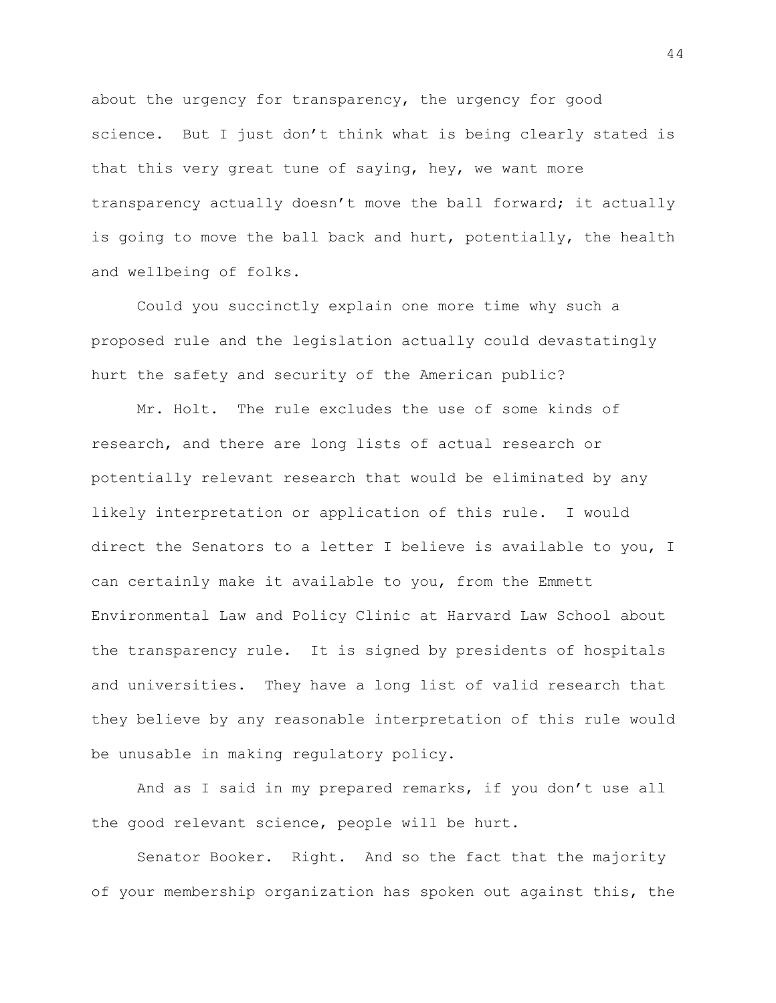about the urgency for transparency, the urgency for good science. But I just don't think what is being clearly stated is that this very great tune of saying, hey, we want more transparency actually doesn't move the ball forward; it actually is going to move the ball back and hurt, potentially, the health and wellbeing of folks.

Could you succinctly explain one more time why such a proposed rule and the legislation actually could devastatingly hurt the safety and security of the American public?

Mr. Holt. The rule excludes the use of some kinds of research, and there are long lists of actual research or potentially relevant research that would be eliminated by any likely interpretation or application of this rule. I would direct the Senators to a letter I believe is available to you, I can certainly make it available to you, from the Emmett Environmental Law and Policy Clinic at Harvard Law School about the transparency rule. It is signed by presidents of hospitals and universities. They have a long list of valid research that they believe by any reasonable interpretation of this rule would be unusable in making regulatory policy.

And as I said in my prepared remarks, if you don't use all the good relevant science, people will be hurt.

Senator Booker. Right. And so the fact that the majority of your membership organization has spoken out against this, the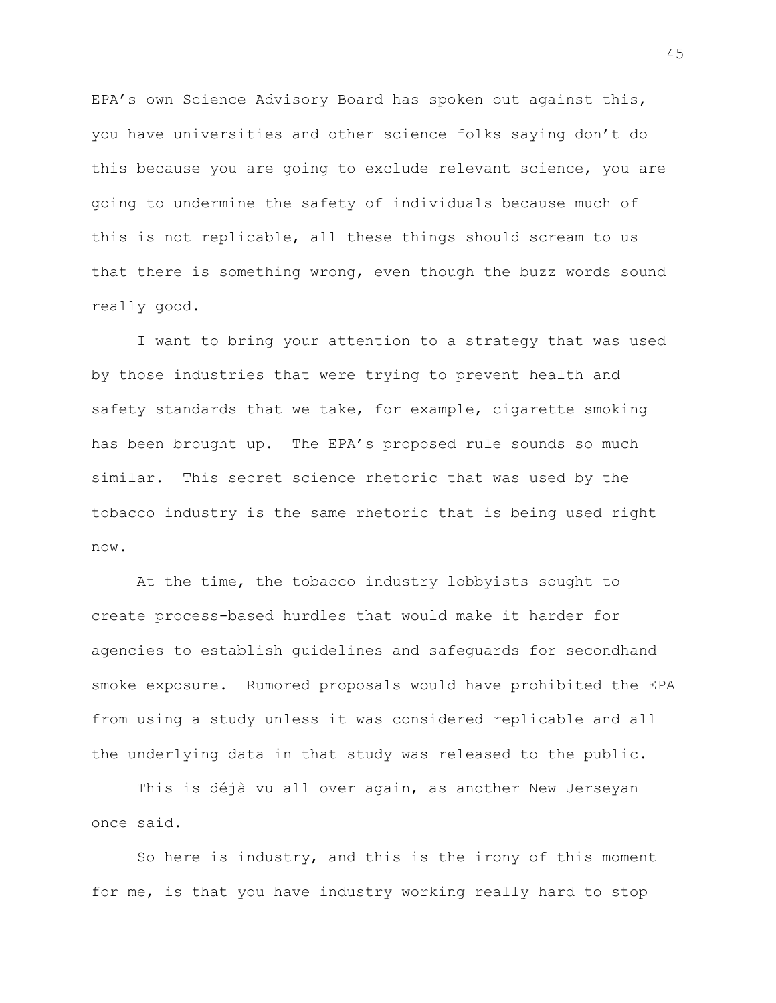EPA's own Science Advisory Board has spoken out against this, you have universities and other science folks saying don't do this because you are going to exclude relevant science, you are going to undermine the safety of individuals because much of this is not replicable, all these things should scream to us that there is something wrong, even though the buzz words sound really good.

I want to bring your attention to a strategy that was used by those industries that were trying to prevent health and safety standards that we take, for example, cigarette smoking has been brought up. The EPA's proposed rule sounds so much similar. This secret science rhetoric that was used by the tobacco industry is the same rhetoric that is being used right now.

At the time, the tobacco industry lobbyists sought to create process-based hurdles that would make it harder for agencies to establish guidelines and safeguards for secondhand smoke exposure. Rumored proposals would have prohibited the EPA from using a study unless it was considered replicable and all the underlying data in that study was released to the public.

This is déjà vu all over again, as another New Jerseyan once said.

So here is industry, and this is the irony of this moment for me, is that you have industry working really hard to stop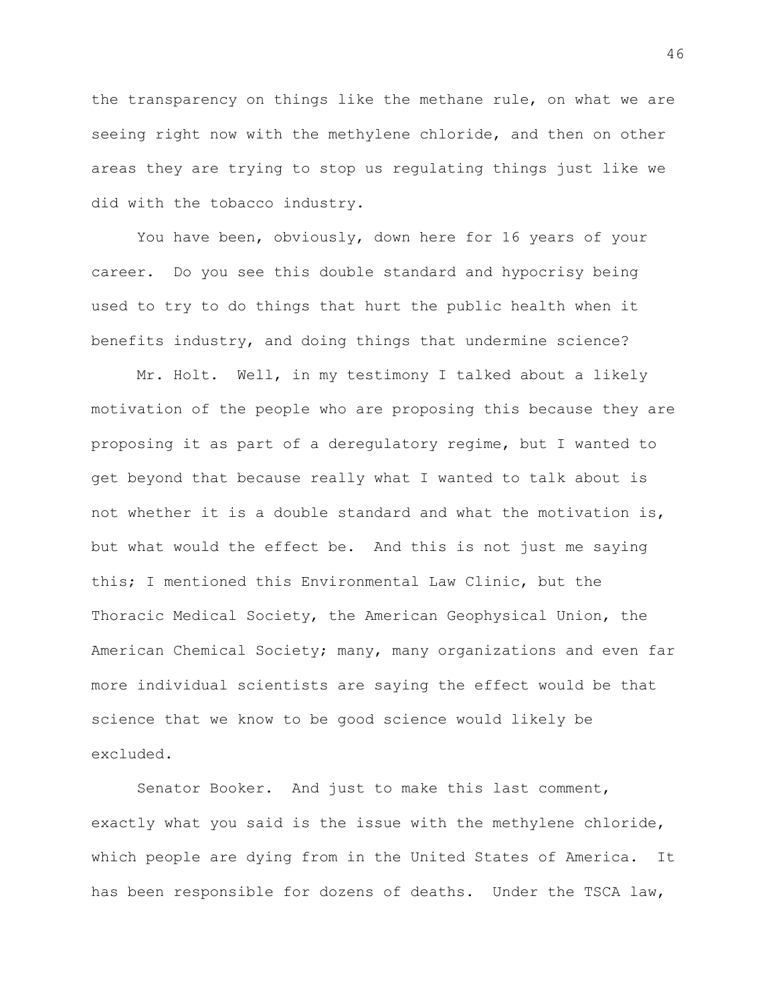the transparency on things like the methane rule, on what we are seeing right now with the methylene chloride, and then on other areas they are trying to stop us regulating things just like we did with the tobacco industry.

You have been, obviously, down here for 16 years of your career. Do you see this double standard and hypocrisy being used to try to do things that hurt the public health when it benefits industry, and doing things that undermine science?

Mr. Holt. Well, in my testimony I talked about a likely motivation of the people who are proposing this because they are proposing it as part of a deregulatory regime, but I wanted to get beyond that because really what I wanted to talk about is not whether it is a double standard and what the motivation is, but what would the effect be. And this is not just me saying this; I mentioned this Environmental Law Clinic, but the Thoracic Medical Society, the American Geophysical Union, the American Chemical Society; many, many organizations and even far more individual scientists are saying the effect would be that science that we know to be good science would likely be excluded.

Senator Booker. And just to make this last comment, exactly what you said is the issue with the methylene chloride, which people are dying from in the United States of America. It has been responsible for dozens of deaths. Under the TSCA law,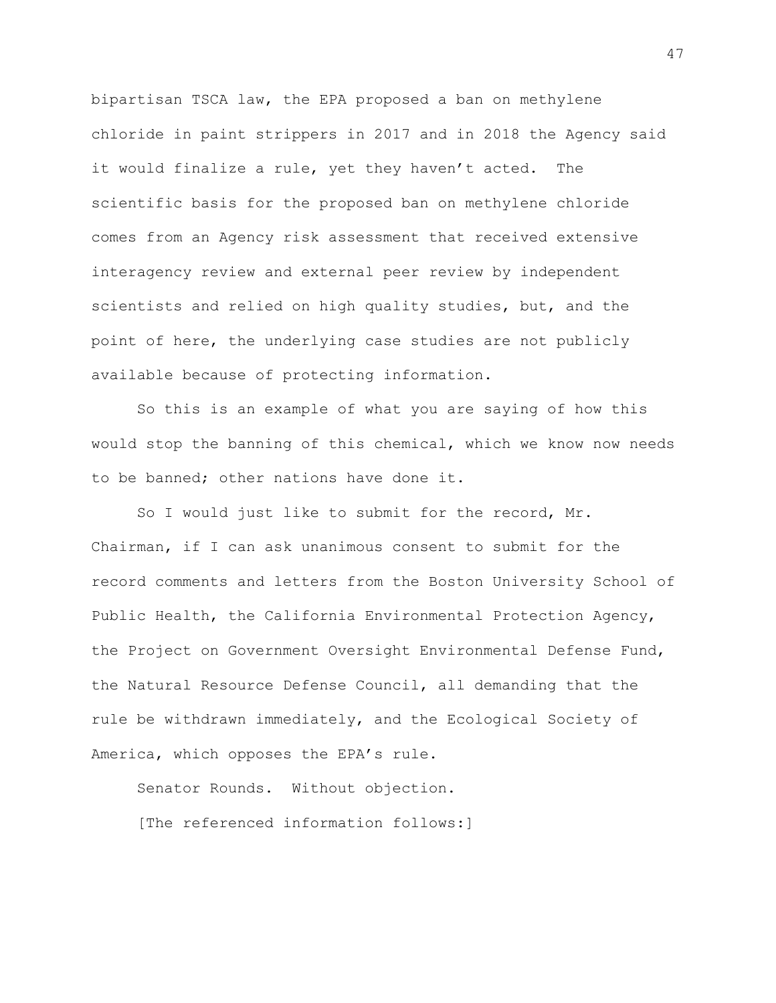bipartisan TSCA law, the EPA proposed a ban on methylene chloride in paint strippers in 2017 and in 2018 the Agency said it would finalize a rule, yet they haven't acted. The scientific basis for the proposed ban on methylene chloride comes from an Agency risk assessment that received extensive interagency review and external peer review by independent scientists and relied on high quality studies, but, and the point of here, the underlying case studies are not publicly available because of protecting information.

So this is an example of what you are saying of how this would stop the banning of this chemical, which we know now needs to be banned; other nations have done it.

So I would just like to submit for the record, Mr. Chairman, if I can ask unanimous consent to submit for the record comments and letters from the Boston University School of Public Health, the California Environmental Protection Agency, the Project on Government Oversight Environmental Defense Fund, the Natural Resource Defense Council, all demanding that the rule be withdrawn immediately, and the Ecological Society of America, which opposes the EPA's rule.

Senator Rounds. Without objection. [The referenced information follows:]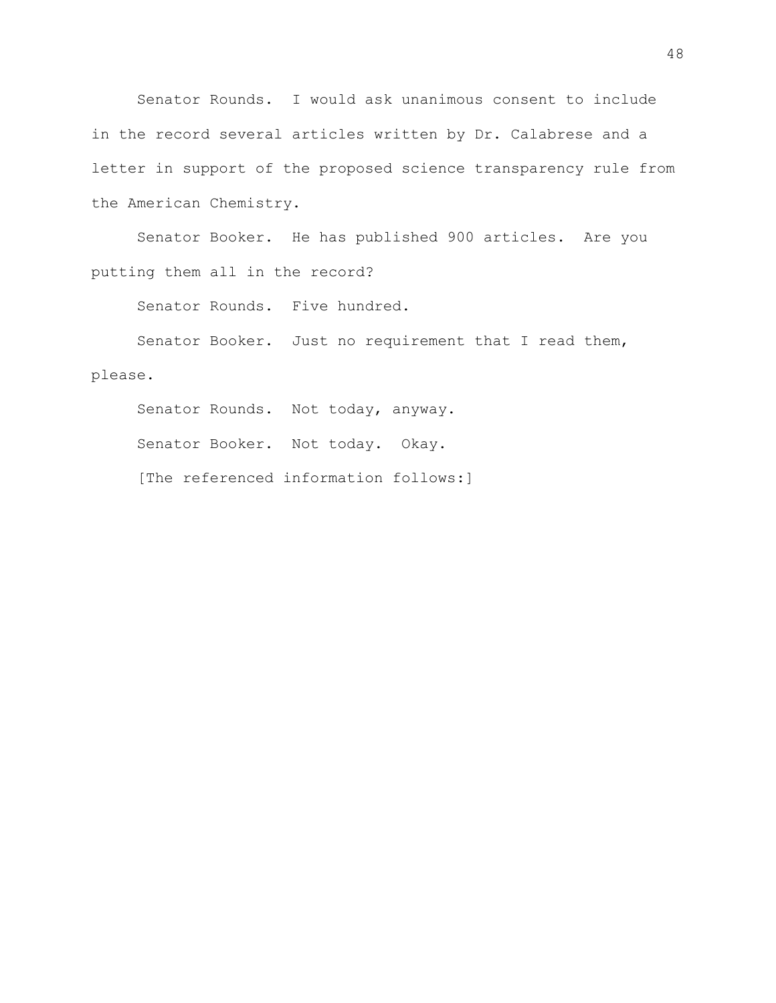Senator Rounds. I would ask unanimous consent to include in the record several articles written by Dr. Calabrese and a letter in support of the proposed science transparency rule from the American Chemistry.

Senator Booker. He has published 900 articles. Are you putting them all in the record?

Senator Rounds. Five hundred.

Senator Booker. Just no requirement that I read them, please.

Senator Rounds. Not today, anyway. Senator Booker. Not today. Okay. [The referenced information follows:]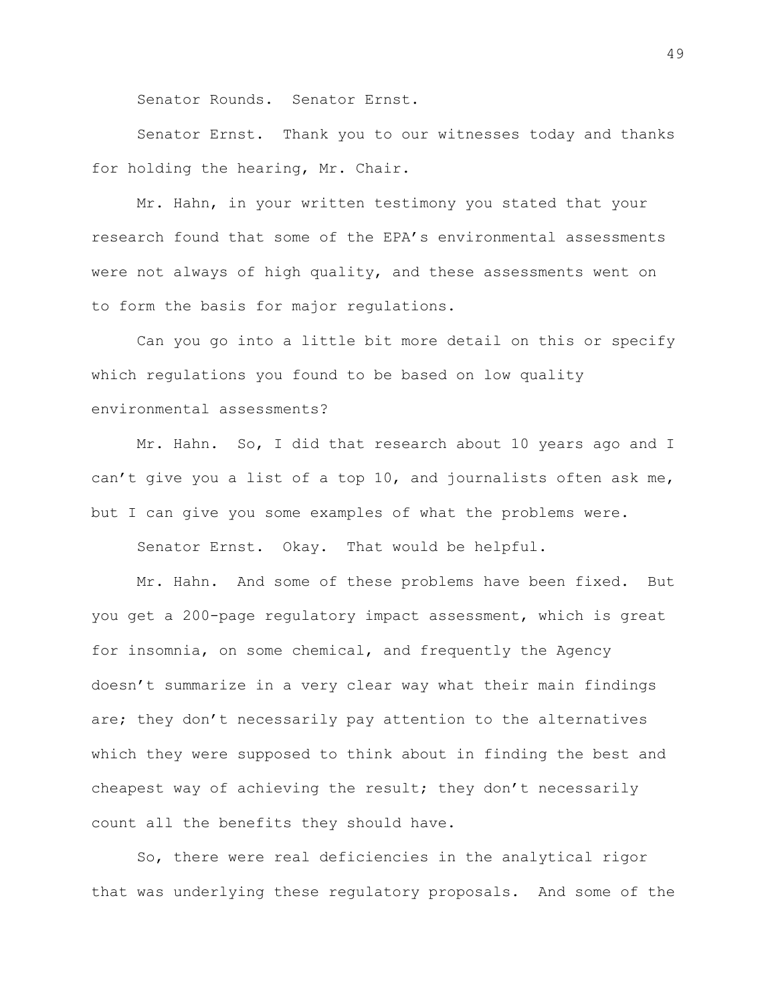Senator Rounds. Senator Ernst.

Senator Ernst. Thank you to our witnesses today and thanks for holding the hearing, Mr. Chair.

Mr. Hahn, in your written testimony you stated that your research found that some of the EPA's environmental assessments were not always of high quality, and these assessments went on to form the basis for major regulations.

Can you go into a little bit more detail on this or specify which regulations you found to be based on low quality environmental assessments?

Mr. Hahn. So, I did that research about 10 years ago and I can't give you a list of a top 10, and journalists often ask me, but I can give you some examples of what the problems were.

Senator Ernst. Okay. That would be helpful.

Mr. Hahn. And some of these problems have been fixed. But you get a 200-page regulatory impact assessment, which is great for insomnia, on some chemical, and frequently the Agency doesn't summarize in a very clear way what their main findings are; they don't necessarily pay attention to the alternatives which they were supposed to think about in finding the best and cheapest way of achieving the result; they don't necessarily count all the benefits they should have.

So, there were real deficiencies in the analytical rigor that was underlying these regulatory proposals. And some of the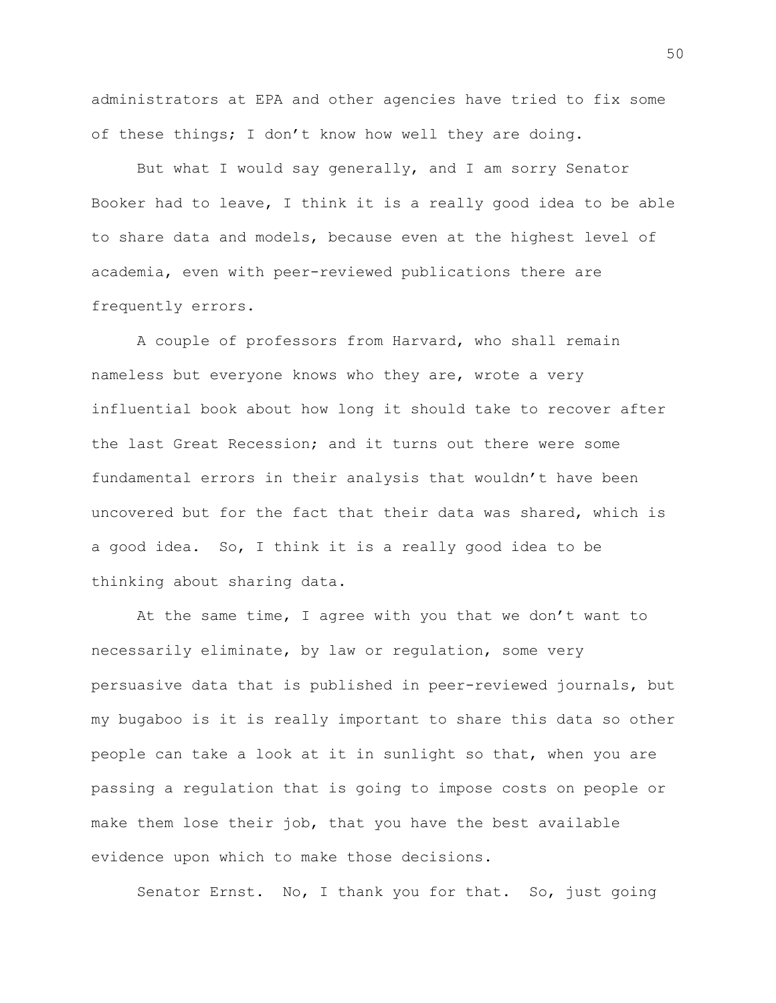administrators at EPA and other agencies have tried to fix some of these things; I don't know how well they are doing.

But what I would say generally, and I am sorry Senator Booker had to leave, I think it is a really good idea to be able to share data and models, because even at the highest level of academia, even with peer-reviewed publications there are frequently errors.

A couple of professors from Harvard, who shall remain nameless but everyone knows who they are, wrote a very influential book about how long it should take to recover after the last Great Recession; and it turns out there were some fundamental errors in their analysis that wouldn't have been uncovered but for the fact that their data was shared, which is a good idea. So, I think it is a really good idea to be thinking about sharing data.

At the same time, I agree with you that we don't want to necessarily eliminate, by law or regulation, some very persuasive data that is published in peer-reviewed journals, but my bugaboo is it is really important to share this data so other people can take a look at it in sunlight so that, when you are passing a regulation that is going to impose costs on people or make them lose their job, that you have the best available evidence upon which to make those decisions.

Senator Ernst. No, I thank you for that. So, just going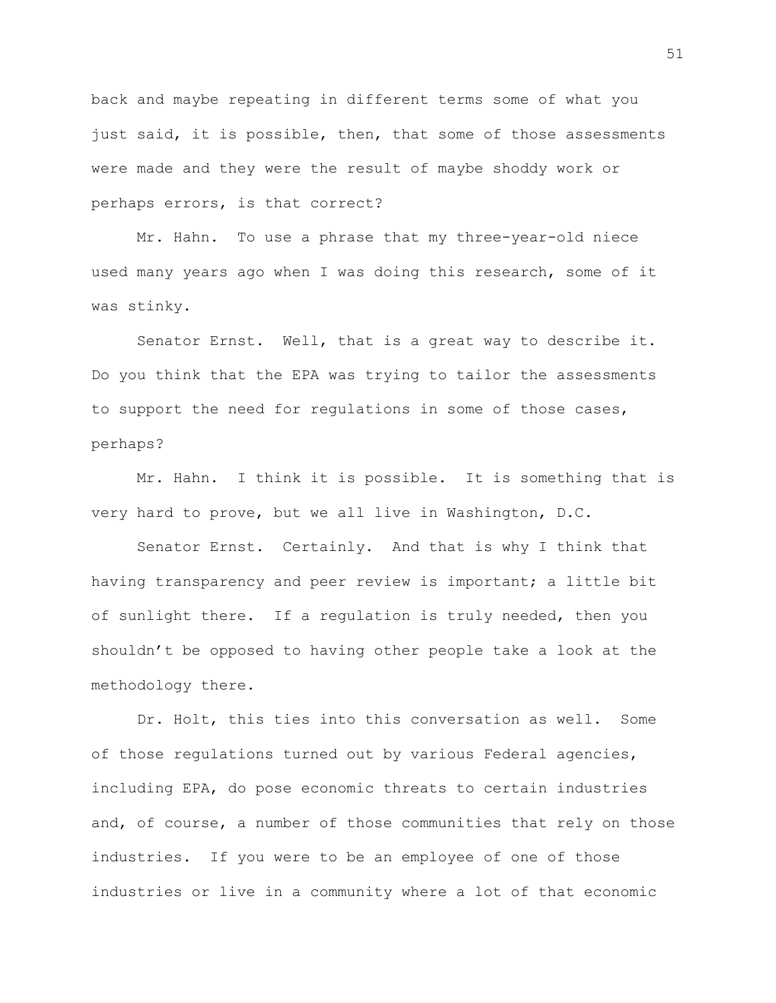back and maybe repeating in different terms some of what you just said, it is possible, then, that some of those assessments were made and they were the result of maybe shoddy work or perhaps errors, is that correct?

Mr. Hahn. To use a phrase that my three-year-old niece used many years ago when I was doing this research, some of it was stinky.

Senator Ernst. Well, that is a great way to describe it. Do you think that the EPA was trying to tailor the assessments to support the need for regulations in some of those cases, perhaps?

Mr. Hahn. I think it is possible. It is something that is very hard to prove, but we all live in Washington, D.C.

Senator Ernst. Certainly. And that is why I think that having transparency and peer review is important; a little bit of sunlight there. If a regulation is truly needed, then you shouldn't be opposed to having other people take a look at the methodology there.

Dr. Holt, this ties into this conversation as well. Some of those regulations turned out by various Federal agencies, including EPA, do pose economic threats to certain industries and, of course, a number of those communities that rely on those industries. If you were to be an employee of one of those industries or live in a community where a lot of that economic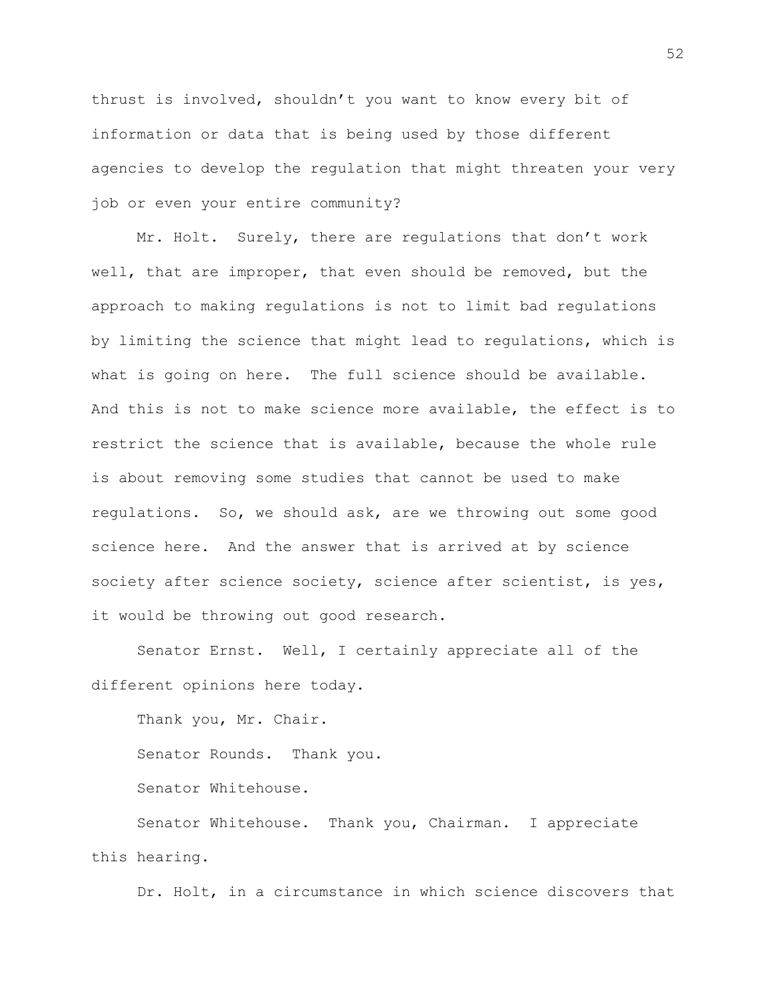thrust is involved, shouldn't you want to know every bit of information or data that is being used by those different agencies to develop the regulation that might threaten your very job or even your entire community?

Mr. Holt. Surely, there are regulations that don't work well, that are improper, that even should be removed, but the approach to making regulations is not to limit bad regulations by limiting the science that might lead to regulations, which is what is going on here. The full science should be available. And this is not to make science more available, the effect is to restrict the science that is available, because the whole rule is about removing some studies that cannot be used to make regulations. So, we should ask, are we throwing out some good science here. And the answer that is arrived at by science society after science society, science after scientist, is yes, it would be throwing out good research.

Senator Ernst. Well, I certainly appreciate all of the different opinions here today.

Thank you, Mr. Chair. Senator Rounds. Thank you. Senator Whitehouse. Senator Whitehouse. Thank you, Chairman. I appreciate this hearing.

Dr. Holt, in a circumstance in which science discovers that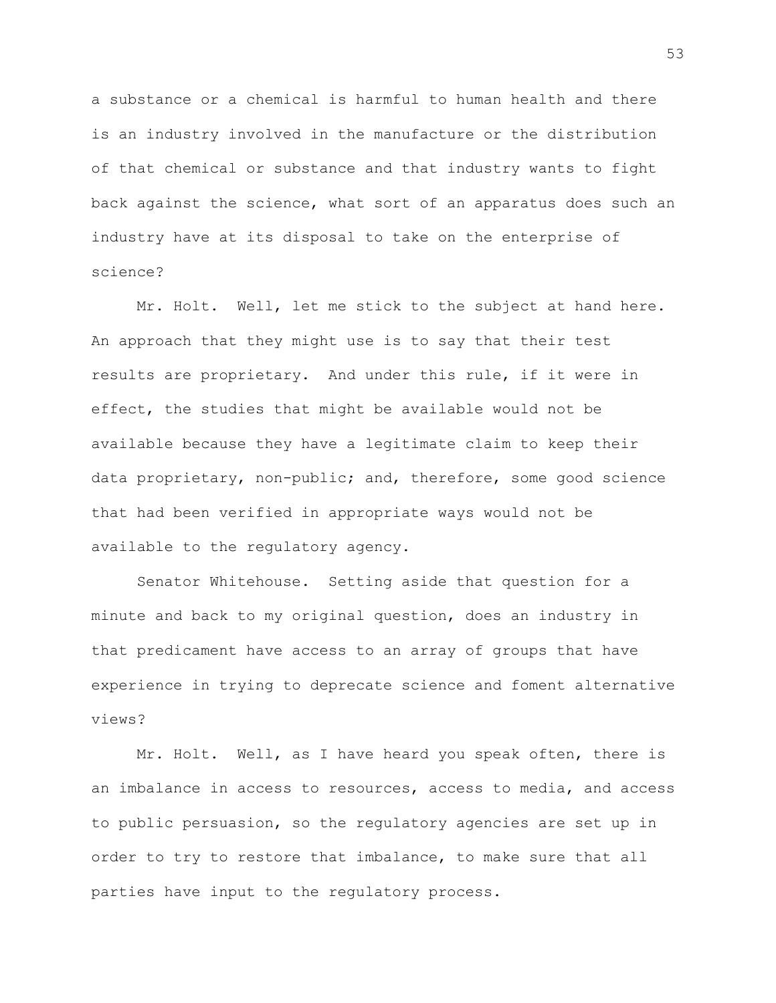a substance or a chemical is harmful to human health and there is an industry involved in the manufacture or the distribution of that chemical or substance and that industry wants to fight back against the science, what sort of an apparatus does such an industry have at its disposal to take on the enterprise of science?

Mr. Holt. Well, let me stick to the subject at hand here. An approach that they might use is to say that their test results are proprietary. And under this rule, if it were in effect, the studies that might be available would not be available because they have a legitimate claim to keep their data proprietary, non-public; and, therefore, some good science that had been verified in appropriate ways would not be available to the regulatory agency.

Senator Whitehouse. Setting aside that question for a minute and back to my original question, does an industry in that predicament have access to an array of groups that have experience in trying to deprecate science and foment alternative views?

Mr. Holt. Well, as I have heard you speak often, there is an imbalance in access to resources, access to media, and access to public persuasion, so the regulatory agencies are set up in order to try to restore that imbalance, to make sure that all parties have input to the regulatory process.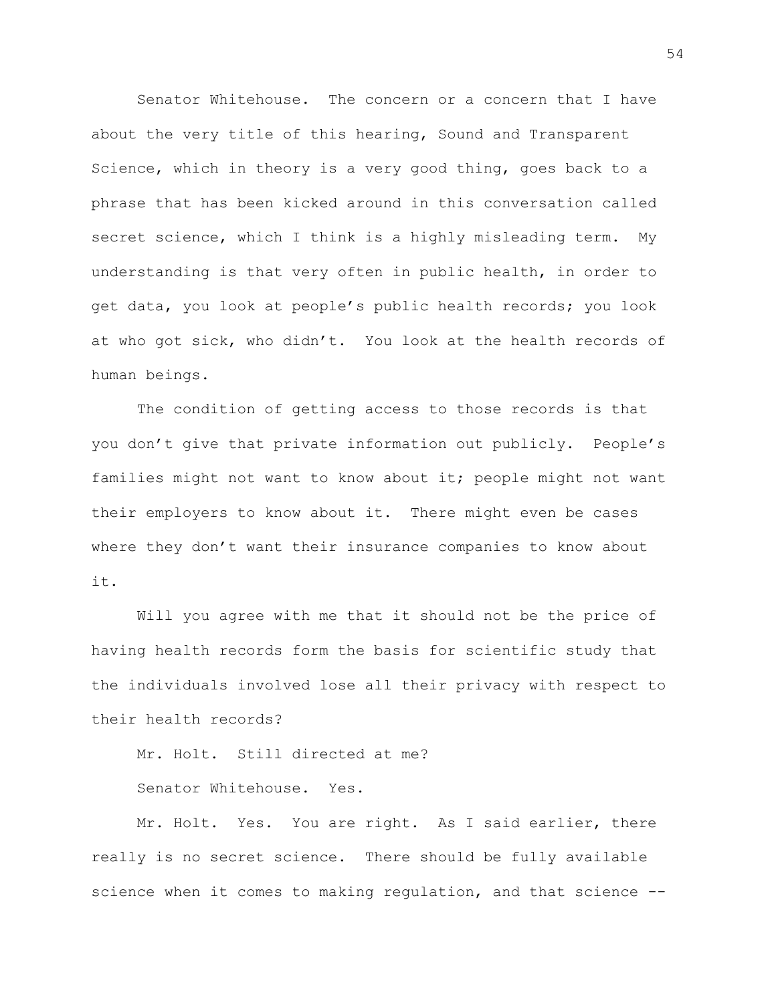Senator Whitehouse. The concern or a concern that I have about the very title of this hearing, Sound and Transparent Science, which in theory is a very good thing, goes back to a phrase that has been kicked around in this conversation called secret science, which I think is a highly misleading term. My understanding is that very often in public health, in order to get data, you look at people's public health records; you look at who got sick, who didn't. You look at the health records of human beings.

The condition of getting access to those records is that you don't give that private information out publicly. People's families might not want to know about it; people might not want their employers to know about it. There might even be cases where they don't want their insurance companies to know about it.

Will you agree with me that it should not be the price of having health records form the basis for scientific study that the individuals involved lose all their privacy with respect to their health records?

Mr. Holt. Still directed at me?

Senator Whitehouse. Yes.

Mr. Holt. Yes. You are right. As I said earlier, there really is no secret science. There should be fully available science when it comes to making regulation, and that science --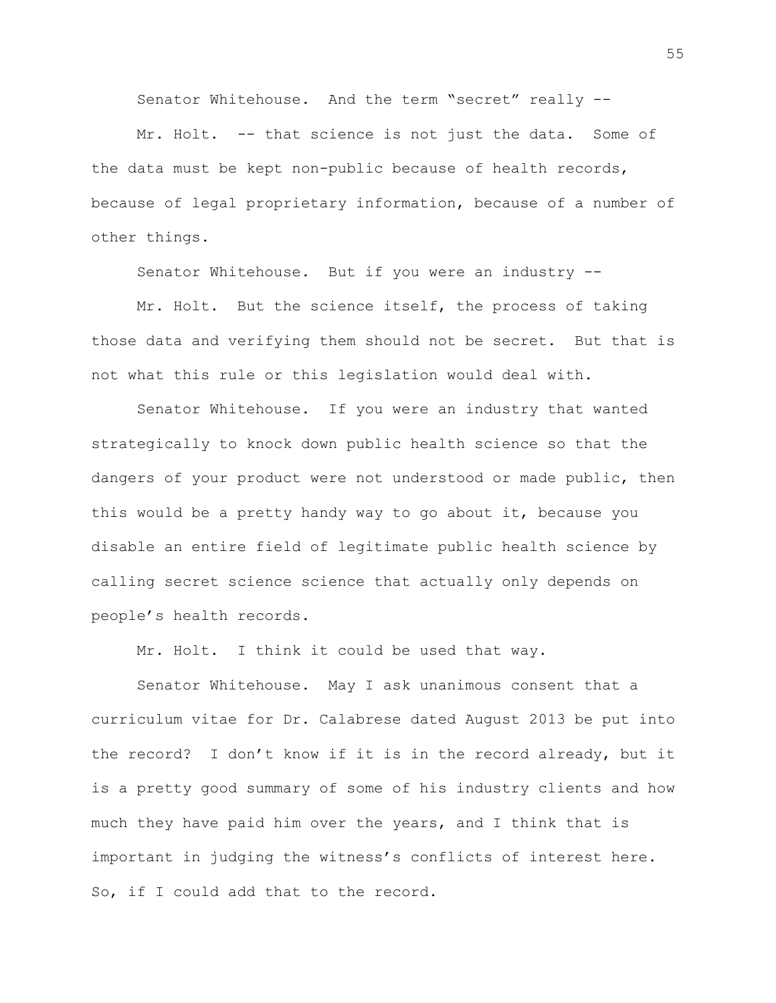Senator Whitehouse. And the term "secret" really --

Mr. Holt. -- that science is not just the data. Some of the data must be kept non-public because of health records, because of legal proprietary information, because of a number of other things.

Senator Whitehouse. But if you were an industry --

Mr. Holt. But the science itself, the process of taking those data and verifying them should not be secret. But that is not what this rule or this legislation would deal with.

Senator Whitehouse. If you were an industry that wanted strategically to knock down public health science so that the dangers of your product were not understood or made public, then this would be a pretty handy way to go about it, because you disable an entire field of legitimate public health science by calling secret science science that actually only depends on people's health records.

Mr. Holt. I think it could be used that way.

Senator Whitehouse. May I ask unanimous consent that a curriculum vitae for Dr. Calabrese dated August 2013 be put into the record? I don't know if it is in the record already, but it is a pretty good summary of some of his industry clients and how much they have paid him over the years, and I think that is important in judging the witness's conflicts of interest here. So, if I could add that to the record.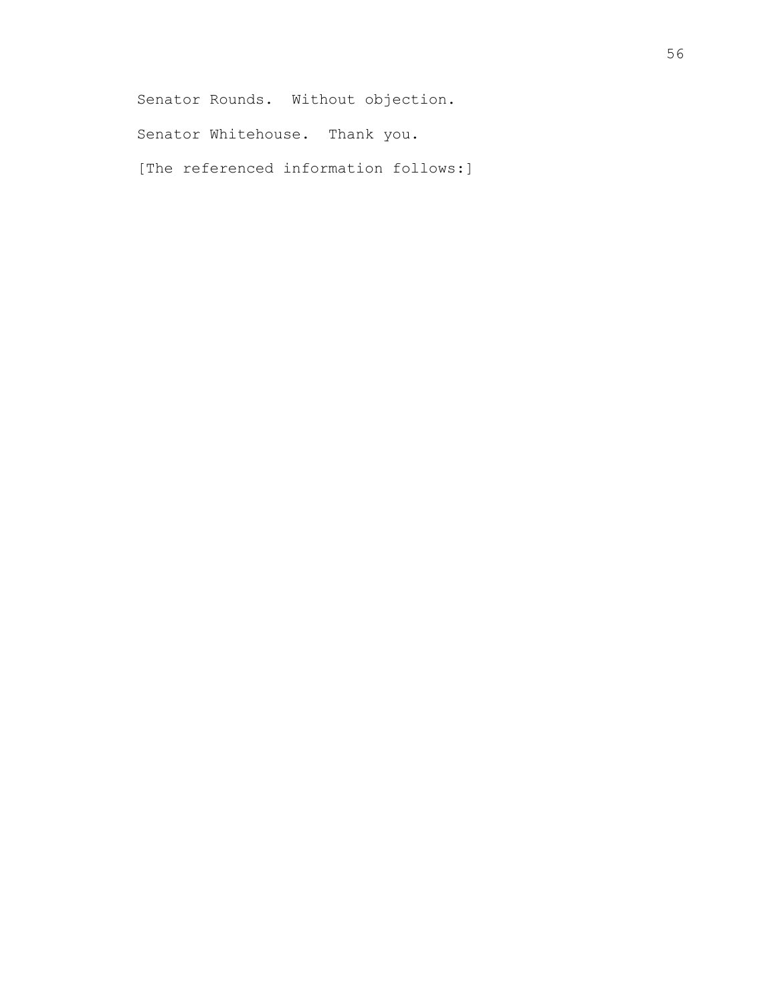Senator Rounds. Without objection.

Senator Whitehouse. Thank you.

[The referenced information follows:]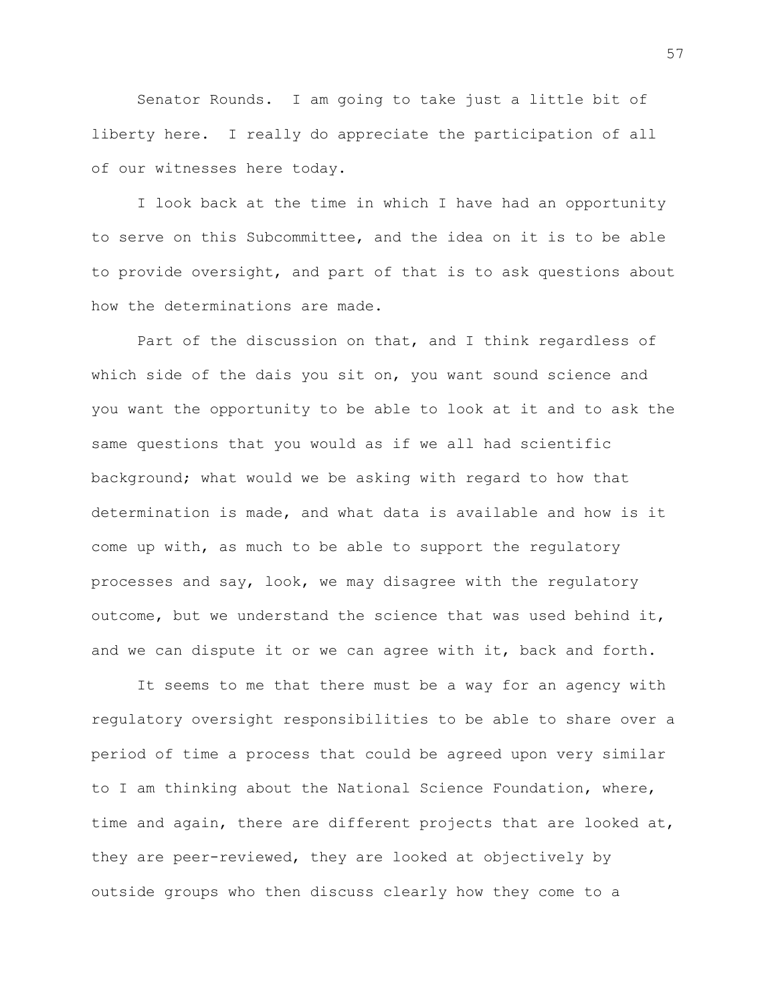Senator Rounds. I am going to take just a little bit of liberty here. I really do appreciate the participation of all of our witnesses here today.

I look back at the time in which I have had an opportunity to serve on this Subcommittee, and the idea on it is to be able to provide oversight, and part of that is to ask questions about how the determinations are made.

Part of the discussion on that, and I think regardless of which side of the dais you sit on, you want sound science and you want the opportunity to be able to look at it and to ask the same questions that you would as if we all had scientific background; what would we be asking with regard to how that determination is made, and what data is available and how is it come up with, as much to be able to support the regulatory processes and say, look, we may disagree with the regulatory outcome, but we understand the science that was used behind it, and we can dispute it or we can agree with it, back and forth.

It seems to me that there must be a way for an agency with regulatory oversight responsibilities to be able to share over a period of time a process that could be agreed upon very similar to I am thinking about the National Science Foundation, where, time and again, there are different projects that are looked at, they are peer-reviewed, they are looked at objectively by outside groups who then discuss clearly how they come to a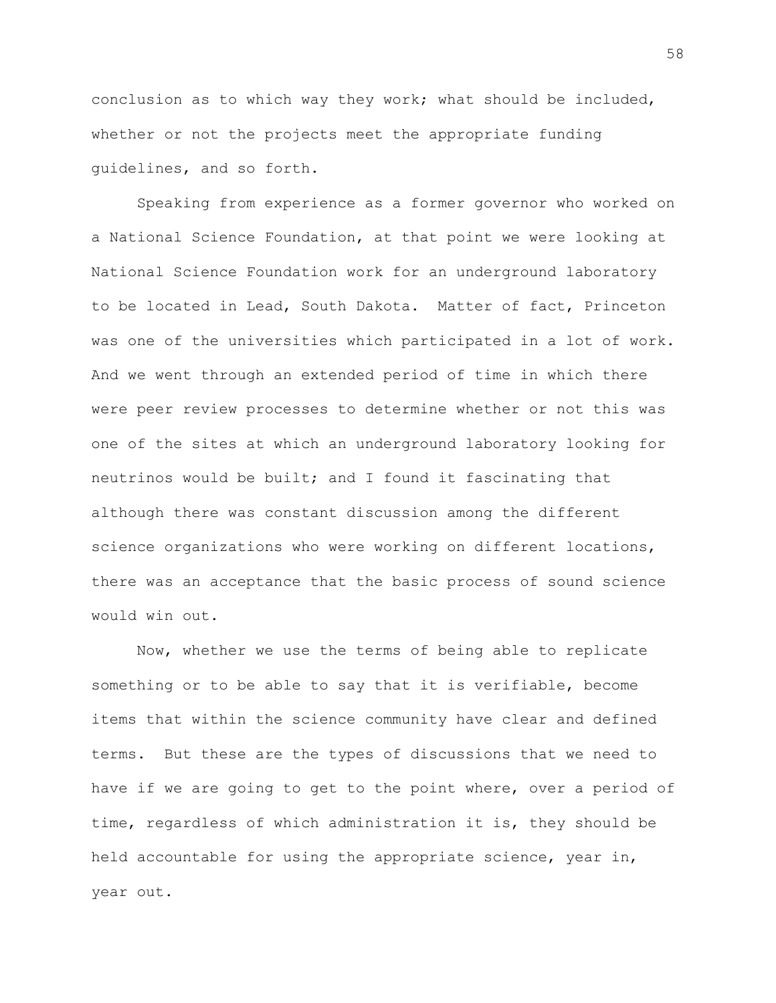conclusion as to which way they work; what should be included, whether or not the projects meet the appropriate funding guidelines, and so forth.

Speaking from experience as a former governor who worked on a National Science Foundation, at that point we were looking at National Science Foundation work for an underground laboratory to be located in Lead, South Dakota. Matter of fact, Princeton was one of the universities which participated in a lot of work. And we went through an extended period of time in which there were peer review processes to determine whether or not this was one of the sites at which an underground laboratory looking for neutrinos would be built; and I found it fascinating that although there was constant discussion among the different science organizations who were working on different locations, there was an acceptance that the basic process of sound science would win out.

Now, whether we use the terms of being able to replicate something or to be able to say that it is verifiable, become items that within the science community have clear and defined terms. But these are the types of discussions that we need to have if we are going to get to the point where, over a period of time, regardless of which administration it is, they should be held accountable for using the appropriate science, year in, year out.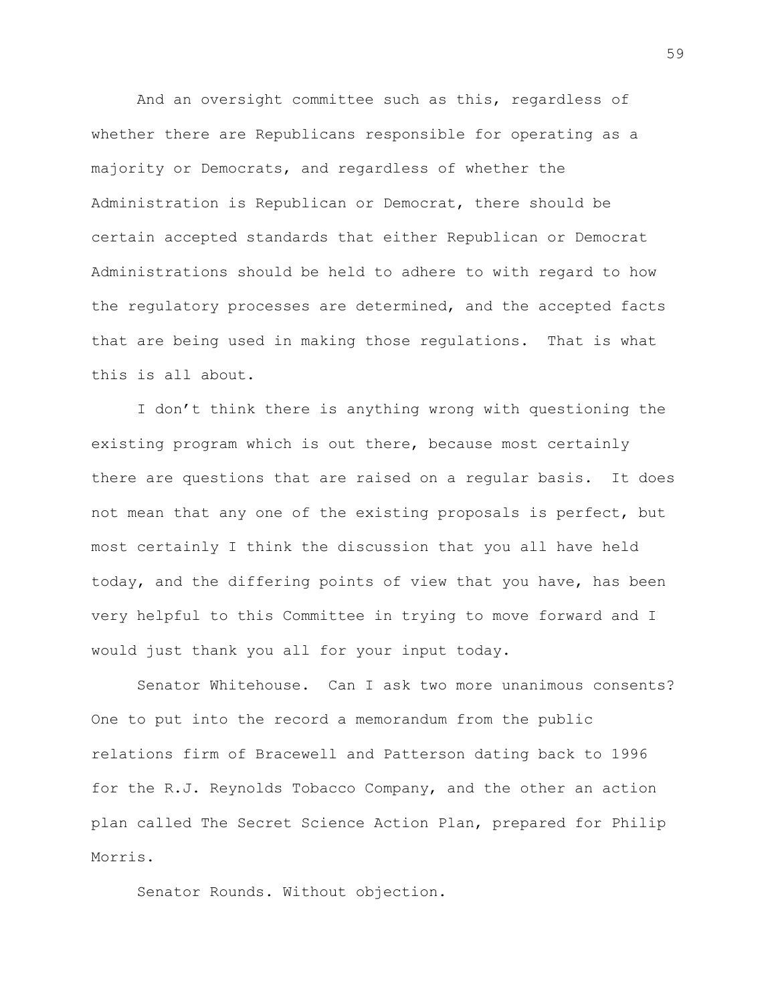And an oversight committee such as this, regardless of whether there are Republicans responsible for operating as a majority or Democrats, and regardless of whether the Administration is Republican or Democrat, there should be certain accepted standards that either Republican or Democrat Administrations should be held to adhere to with regard to how the regulatory processes are determined, and the accepted facts that are being used in making those regulations. That is what this is all about.

I don't think there is anything wrong with questioning the existing program which is out there, because most certainly there are questions that are raised on a regular basis. It does not mean that any one of the existing proposals is perfect, but most certainly I think the discussion that you all have held today, and the differing points of view that you have, has been very helpful to this Committee in trying to move forward and I would just thank you all for your input today.

Senator Whitehouse. Can I ask two more unanimous consents? One to put into the record a memorandum from the public relations firm of Bracewell and Patterson dating back to 1996 for the R.J. Reynolds Tobacco Company, and the other an action plan called The Secret Science Action Plan, prepared for Philip Morris.

Senator Rounds. Without objection.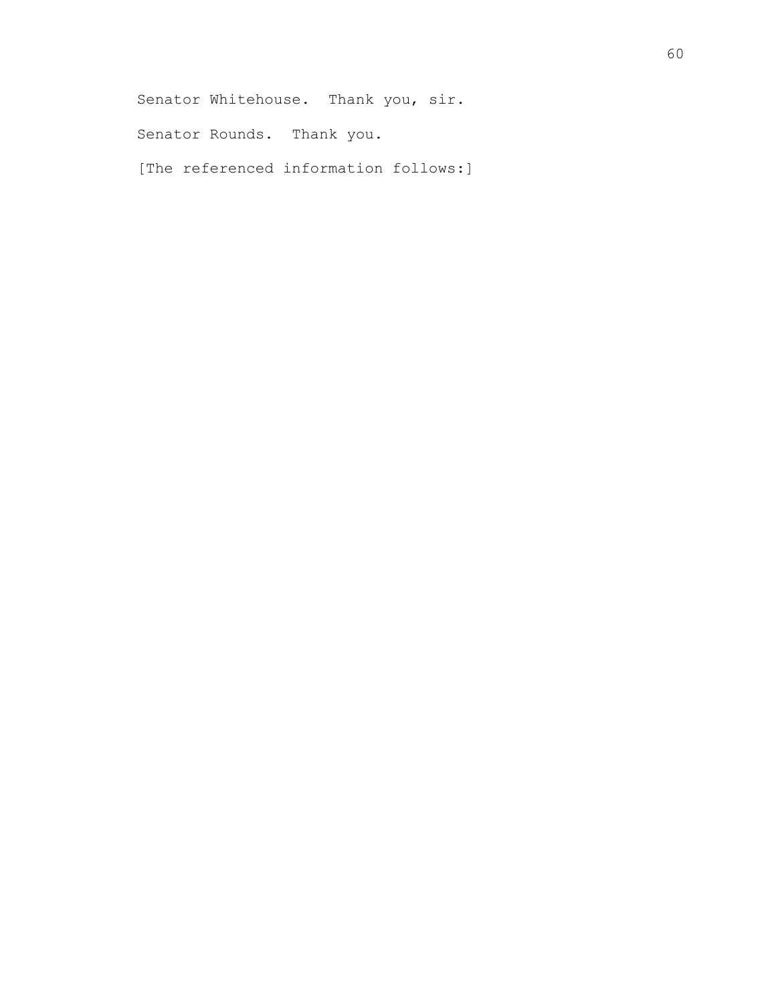Senator Whitehouse. Thank you, sir.

Senator Rounds. Thank you.

[The referenced information follows:]